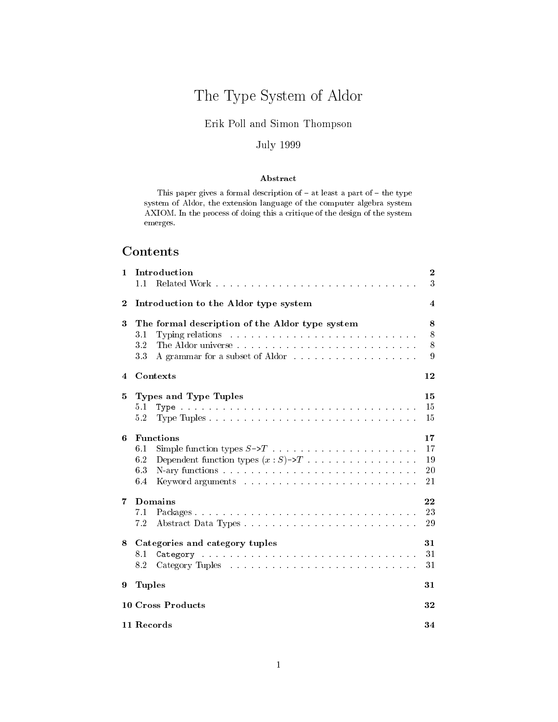# The Type System of Aldor

# Erik Poll and Simon Thompson

# **July 1999**

# Abstract

This paper gives a formal description of  $-$  at least a part of  $-$  the type system of Aldor, the extension language of the computer algebra system AXIOM. In the process of doing this a critique of the design of the system  $\rm{emerges.}$ 

# Contents

| 1        | Introduction<br>1.1                                                                                     | $\boldsymbol{2}$<br>3      |  |  |  |  |  |
|----------|---------------------------------------------------------------------------------------------------------|----------------------------|--|--|--|--|--|
| $\bf{2}$ | Introduction to the Aldor type system                                                                   | 4                          |  |  |  |  |  |
| 3        | The formal description of the Aldor type system<br>3.1<br>3.2<br>A grammar for a subset of Aldor<br>3.3 | 8<br>8<br>8<br>9           |  |  |  |  |  |
| 4        | Contexts                                                                                                | 12                         |  |  |  |  |  |
| 5        | Types and Type Tuples<br>5.1<br>5.2                                                                     | $15\,$<br>15<br>15         |  |  |  |  |  |
| 6        | <b>Functions</b><br>6.1<br>Dependent function types $(x : S) \rightarrow T$<br>6.2<br>6.3<br>6.4        | 17<br>17<br>19<br>20<br>21 |  |  |  |  |  |
| 7        | <b>Domains</b><br>7.1<br>7.2                                                                            | 22<br>23<br>29             |  |  |  |  |  |
| 8        | Categories and category tuples<br>8.1<br>8.2                                                            | 31<br>31<br>31             |  |  |  |  |  |
| 9        | <b>Tuples</b><br>31                                                                                     |                            |  |  |  |  |  |
|          | 10 Cross Products<br>32                                                                                 |                            |  |  |  |  |  |
|          | 11 Records<br>34                                                                                        |                            |  |  |  |  |  |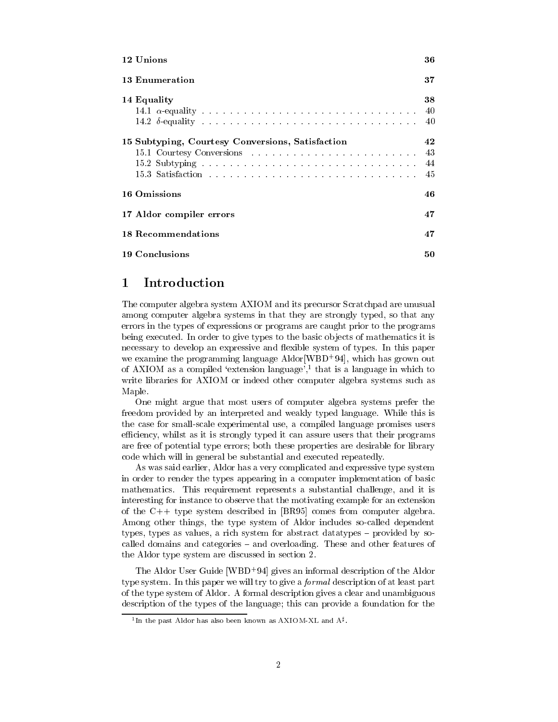| 12 Unions                                        | 36 |  |  |
|--------------------------------------------------|----|--|--|
| 13 Enumeration                                   | 37 |  |  |
| 14 Equality                                      | 38 |  |  |
|                                                  | 40 |  |  |
|                                                  | 40 |  |  |
| 15 Subtyping, Courtesy Conversions, Satisfaction |    |  |  |
|                                                  | 43 |  |  |
|                                                  | 44 |  |  |
|                                                  | 45 |  |  |
| 16 Omissions                                     | 46 |  |  |
| 17 Aldor compiler errors                         | 47 |  |  |
| 18 Recommendations                               | 47 |  |  |
| 19 Conclusions                                   | 50 |  |  |

### Introduction 1

The computer algebra system AXIOM and its precursor Scratchpad are unusual among computer algebra systems in that they are strongly typed, so that any errors in the types of expressions or programs are caught prior to the programs being executed. In order to give types to the basic objects of mathematics it is necessary to develop an expressive and flexible system of types. In this paper we examine the programming language Aldor [WBD<sup>+94]</sup>, which has grown out of AXIOM as a compiled 'extension language',<sup>1</sup> that is a language in which to write libraries for AXIOM or indeed other computer algebra systems such as Maple.

One might argue that most users of computer algebra systems prefer the freedom provided by an interpreted and weakly typed language. While this is the case for small-scale experimental use, a compiled language promises users efficiency, whilst as it is strongly typed it can assure users that their programs are free of potential type errors; both these properties are desirable for library code which will in general be substantial and executed repeatedly.

As was said earlier, Aldor has a very complicated and expressive type system in order to render the types appearing in a computer implementation of basic mathematics. This requirement represents a substantial challenge, and it is interesting for instance to observe that the motivating example for an extension of the  $C++$  type system described in [BR95] comes from computer algebra. Among other things, the type system of Aldor includes so-called dependent types, types as values, a rich system for abstract data types – provided by socalled domains and categories - and overloading. These and other features of the Aldor type system are discussed in section 2.

The Aldor User Guide [WBD<sup>+</sup>94] gives an informal description of the Aldor type system. In this paper we will try to give a *formal* description of at least part of the type system of Aldor. A formal description gives a clear and unambiguous description of the types of the language; this can provide a foundation for the

<sup>&</sup>lt;sup>1</sup>In the past Aldor has also been known as AXIOM-XL and  $A^{\sharp}$ .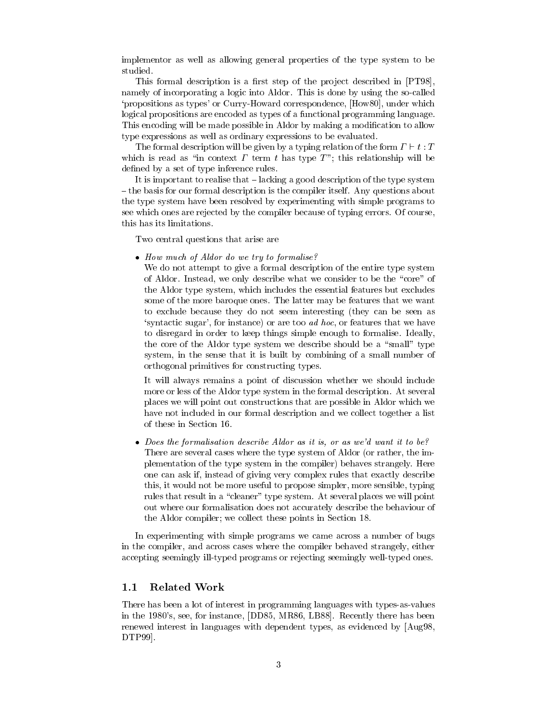implementor as well as allowing general properties of the type system to be studied.

This formal description is a first step of the project described in [PT98], namely of incorporating a logic into Aldor. This is done by using the so-called 'propositions as types' or Curry-Howard correspondence, [How80], under which logical propositions are encoded as types of a functional programming language. This encoding will be made possible in Aldor by making a modification to allow type expressions as well as ordinary expressions to be evaluated.

The formal description will be given by a typing relation of the form  $\Gamma \vdash t : T$ which is read as "in context  $\Gamma$  term t has type  $T$ "; this relationship will be defined by a set of type inference rules.

It is important to realise that  $-\lambda$  lacking a good description of the type system  $-$  the basis for our formal description is the compiler itself. Any questions about the type system have been resolved by experimenting with simple programs to see which ones are rejected by the compiler because of typing errors. Of course, this has its limitations.

Two central questions that arise are

• How much of Aldor do we try to formalise?

We do not attempt to give a formal description of the entire type system of Aldor. Instead, we only describe what we consider to be the "core" of the Aldor type system, which includes the essential features but excludes some of the more baroque ones. The latter may be features that we want to exclude because they do not seem interesting (they can be seen as 'syntactic sugar', for instance) or are too ad hoc, or features that we have to disregard in order to keep things simple enough to formalise. Ideally, the core of the Aldor type system we describe should be a "small" type system, in the sense that it is built by combining of a small number of orthogonal primitives for constructing types.

It will always remains a point of discussion whether we should include more or less of the Aldor type system in the formal description. At several places we will point out constructions that are possible in Aldor which we have not included in our formal description and we collect together a list of these in Section 16.

• Does the formalisation describe Aldor as it is, or as we'd want it to be? There are several cases where the type system of Aldor (or rather, the implementation of the type system in the compiler) behaves strangely. Here one can ask if, instead of giving very complex rules that exactly describe this, it would not be more useful to propose simpler, more sensible, typing rules that result in a "cleaner" type system. At several places we will point out where our formalisation does not accurately describe the behaviour of the Aldor compiler; we collect these points in Section 18.

In experimenting with simple programs we came across a number of bugs in the compiler, and across cases where the compiler behaved strangely, either accepting seemingly ill-typed programs or rejecting seemingly well-typed ones.

### $1.1$ **Related Work**

There has been a lot of interest in programming languages with types-as-values in the 1980's, see, for instance, [DD85, MR86, LB88]. Recently there has been renewed interest in languages with dependent types, as evidenced by [Aug98, DTP99.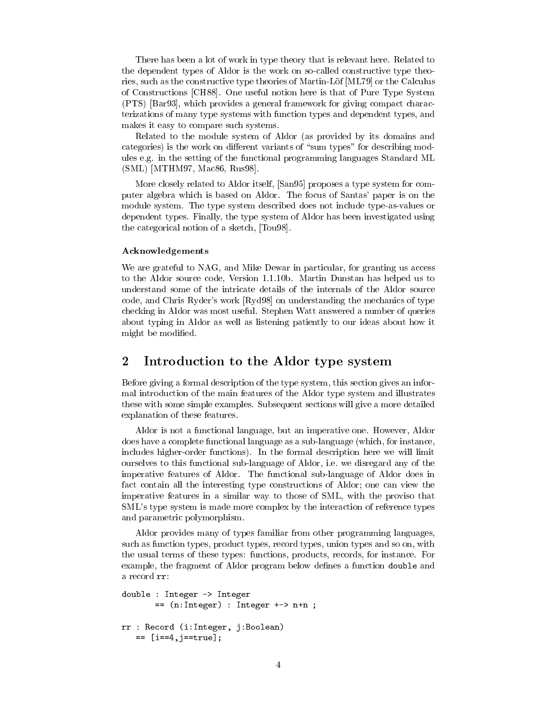There has been a lot of work in type theory that is relevant here. Related to the dependent types of Aldor is the work on so-called constructive type theories, such as the constructive type theories of Martin-Löf [ML79] or the Calculus of Constructions [CH88]. One useful notion here is that of Pure Type System (PTS) [Bar93], which provides a general framework for giving compact characterizations of many type systems with function types and dependent types, and makes it easy to compare such systems.

Related to the module system of Aldor (as provided by its domains and categories) is the work on different variants of "sum types" for describing modules e.g. in the setting of the functional programming languages Standard ML  $(SML)$  [MTHM97, Mac86, Rus98].

More closely related to Aldor itself, [San95] proposes a type system for computer algebra which is based on Aldor. The focus of Santas' paper is on the module system. The type system described does not include type-as-values or dependent types. Finally, the type system of Aldor has been investigated using the categorical notion of a sketch, [Tou98].

# Acknowledgements

We are grateful to NAG, and Mike Dewar in particular, for granting us access to the Aldor source code, Version 1.1.10b. Martin Dunstan has helped us to understand some of the intricate details of the internals of the Aldor source code, and Chris Ryder's work [Ryd98] on understanding the mechanics of type checking in Aldor was most useful. Stephen Watt answered a number of queries about typing in Aldor as well as listening patiently to our ideas about how it might be modified.

### $\overline{2}$ Introduction to the Aldor type system

Before giving a formal description of the type system, this section gives an informal introduction of the main features of the Aldor type system and illustrates these with some simple examples. Subsequent sections will give a more detailed explanation of these features.

Aldor is not a functional language, but an imperative one. However, Aldor does have a complete functional language as a sub-language (which, for instance, includes higher-order functions). In the formal description here we will limit ourselves to this functional sub-language of Aldor, *i.e.* we disregard any of the imperative features of Aldor. The functional sub-language of Aldor does in fact contain all the interesting type constructions of Aldor; one can view the imperative features in a similar way to those of SML, with the proviso that SML's type system is made more complex by the interaction of reference types and parametric polymorphism.

Aldor provides many of types familiar from other programming languages, such as function types, product types, record types, union types and so on, with the usual terms of these types: functions, products, records, for instance. For example, the fragment of Aldor program below defines a function double and a record rr:

```
double : Integer -> Integer
       == (n:Integer) : Integer +-> n+n ;rr : Record (i: Integer, j: Boolean)
    == [i==4, j==true];
```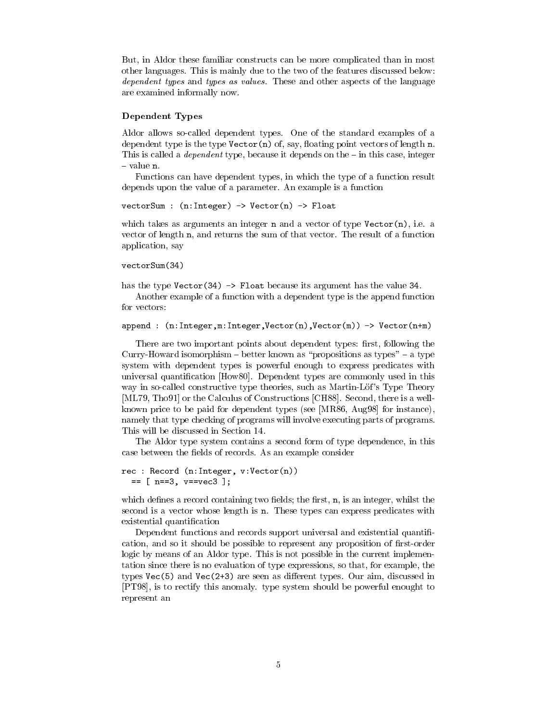But, in Aldor these familiar constructs can be more complicated than in most other languages. This is mainly due to the two of the features discussed below: *dependent types* and *types* as *values*. These and other aspects of the language are examined informally now.

# **Dependent Types**

Aldor allows so-called dependent types. One of the standard examples of a dependent type is the type  $\text{Vector}(n)$  of, say, floating point vectors of length n. This is called a *dependent* type, because it depends on the  $-$  in this case, integer  $-$  value n.

Functions can have dependent types, in which the type of a function result depends upon the value of a parameter. An example is a function

```
vectorSum : (n:Integer) -> Vector(n) -> Float
```
which takes as arguments an integer n and a vector of type Vector(n), i.e. a vector of length n, and returns the sum of that vector. The result of a function application, say

```
vectorSum(34)
```
has the type Vector  $(34)$  -> Float because its argument has the value 34.

Another example of a function with a dependent type is the append function for vectors:

```
append : (n:Integer, m:Integer, Vector(n), Vector(m)) \rightarrow Vector(n+m)
```
There are two important points about dependent types: first, following the Curry-Howard isomorphism – better known as "propositions as types" – a type system with dependent types is powerful enough to express predicates with universal quantification [How80]. Dependent types are commonly used in this way in so-called constructive type theories, such as Martin-Löf's Type Theory [ML79, Tho91] or the Calculus of Constructions [CH88]. Second, there is a wellknown price to be paid for dependent types (see [MR86, Aug98] for instance), namely that type checking of programs will involve executing parts of programs. This will be discussed in Section 14.

The Aldor type system contains a second form of type dependence, in this case between the fields of records. As an example consider

```
rec : Record (n: Integer, v: Vector(n))
  == [ n = = 3, v = = v e c 3];
```
which defines a record containing two fields; the first,  $n$ , is an integer, whilst the second is a vector whose length is n. These types can express predicates with existential quantification

Dependent functions and records support universal and existential quantification, and so it should be possible to represent any proposition of first-order logic by means of an Aldor type. This is not possible in the current implementation since there is no evaluation of type expressions, so that, for example, the types Vec(5) and Vec(2+3) are seen as different types. Our aim, discussed in [PT98], is to rectify this anomaly. type system should be powerful enought to represent an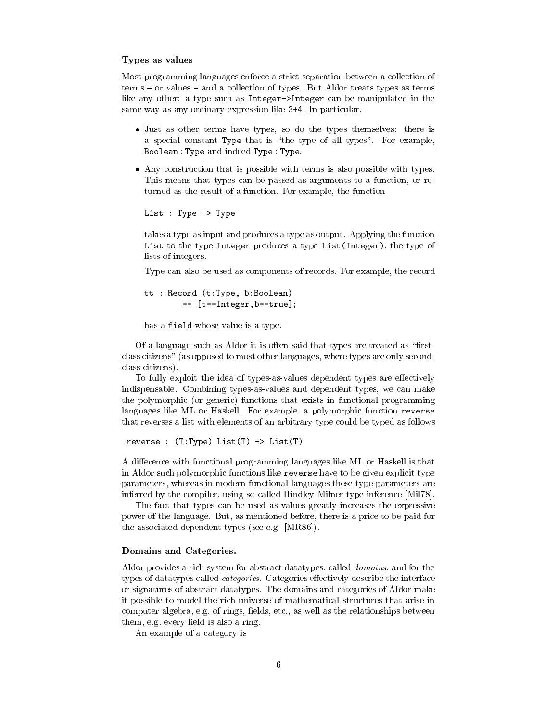# Types as values

Most programming languages enforce a strict separation between a collection of  $terms - or values - and a collection of types. But Aldor treats types as terms$ like any other: a type such as Integer->Integer can be manipulated in the same way as any ordinary expression like 3+4. In particular,

- Just as other terms have types, so do the types themselves: there is a special constant Type that is "the type of all types". For example, Boolean: Type and indeed Type: Type.
- Any construction that is possible with terms is also possible with types. This means that types can be passed as arguments to a function, or returned as the result of a function. For example, the function

```
List : Type -> Type
```
takes a type as input and produces a type as output. Applying the function List to the type Integer produces a type List (Integer), the type of lists of integers.

Type can also be used as components of records. For example, the record

```
tt : Record (t:Type, b:Boolean)
        == [t==Integer,b==true];
```
has a field whose value is a type.

Of a language such as Aldor it is often said that types are treated as "firstclass citizens" (as opposed to most other languages, where types are only secondclass citizens).

To fully exploit the idea of types-as-values dependent types are effectively indispensable. Combining types-as-values and dependent types, we can make the polymorphic (or generic) functions that exists in functional programming languages like ML or Haskell. For example, a polymorphic function reverse that reverses a list with elements of an arbitrary type could be typed as follows

reverse :  $(T:Type) List(T)$  ->  $List(T)$ 

A difference with functional programming languages like ML or Haskell is that in Aldor such polymorphic functions like reverse have to be given explicit type parameters, whereas in modern functional languages these type parameters are inferred by the compiler, using so-called Hindley-Milner type inference [Mil78].

The fact that types can be used as values greatly increases the expressive power of the language. But, as mentioned before, there is a price to be paid for the associated dependent types (see e.g. [MR86]).

# Domains and Categories.

Aldor provides a rich system for abstract data types, called *domains*, and for the types of datatypes called *categories*. Categories effectively describe the interface or signatures of abstract data types. The domains and categories of Aldor make it possible to model the rich universe of mathematical structures that arise in computer algebra, e.g. of rings, fields, etc., as well as the relationships between them, e.g. every field is also a ring.

An example of a category is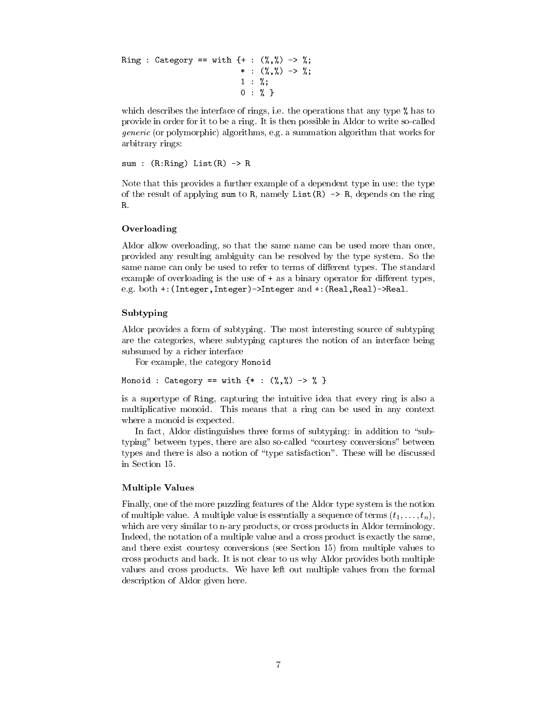Ring : Category == with {+ :  $(\%, \%)$  -> %;  $*$  :  $(\frac{9}{6}, \frac{9}{6})$  -> %;  $1 : \%;$  $0: %$ 

which describes the interface of rings, i.e. the operations that any type % has to provide in order for it to be a ring. It is then possible in Aldor to write so-called *generic* (or polymorphic) algorithms, e.g. a summation algorithm that works for arbitrary rings:

```
sum : (R: Ring) List(R) \rightarrow R
```
Note that this provides a further example of a dependent type in use: the type of the result of applying sum to R, namely List(R)  $\rightarrow$  R, depends on the ring R.

# Overloading

Aldor allow overloading, so that the same name can be used more than once, provided any resulting ambiguity can be resolved by the type system. So the same name can only be used to refer to terms of different types. The standard example of overloading is the use of  $+$  as a binary operator for different types, e.g. both +: (Integer, Integer) ->Integer and +: (Real, Real) ->Real.

# Subtyping

Aldor provides a form of subtyping. The most interesting source of subtyping are the categories, where subtyping captures the notion of an interface being subsumed by a richer interface

For example, the category Monoid

Monoid : Category == with  $\{ * : (\%, \%) \Rightarrow \% \}$ 

is a supertype of Ring, capturing the intuitive idea that every ring is also a multiplicative monoid. This means that a ring can be used in any context where a monoid is expected.

In fact, Aldor distinguishes three forms of subtyping: in addition to "subtyping" between types, there are also so-called "courtesy conversions" between types and there is also a notion of "type satisfaction". These will be discussed in Section 15.

### **Multiple Values**

Finally, one of the more puzzling features of the Aldor type system is the notion of multiple value. A multiple value is essentially a sequence of terms  $(t_1, \ldots, t_n)$ , which are very similar to n-ary products, or cross products in Aldor terminology. Indeed, the notation of a multiple value and a cross product is exactly the same, and there exist courtesy conversions (see Section 15) from multiple values to cross products and back. It is not clear to us why Aldor provides both multiple values and cross products. We have left out multiple values from the formal description of Aldor given here.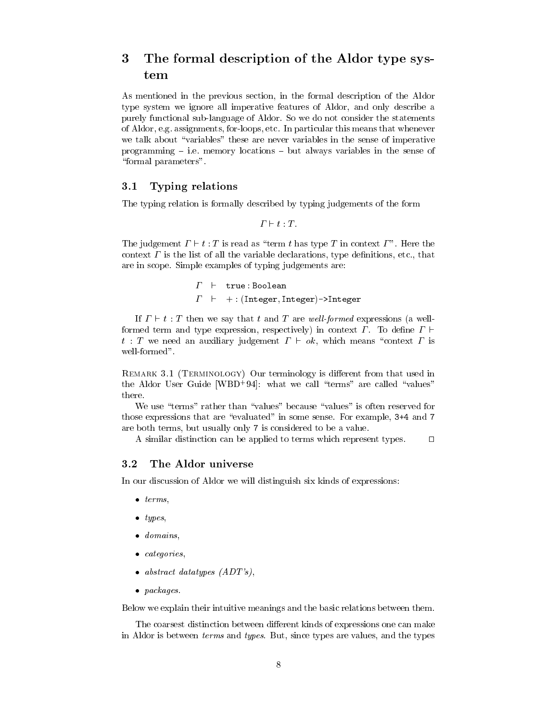# The formal description of the Aldor type sys-3 tem

As mentioned in the previous section, in the formal description of the Aldor type system we ignore all imperative features of Aldor, and only describe a purely functional sub-language of Aldor. So we do not consider the statements of Aldor, e.g. assignments, for-loops, etc. In particular this means that whenever we talk about "variables" these are never variables in the sense of imperative programming  $-$  i.e. memory locations  $-$  but always variables in the sense of "formal parameters".

### $3.1$ Typing relations

The typing relation is formally described by typing judgements of the form

 $\Gamma \vdash t : T$ .

The judgement  $\Gamma \vdash t : T$  is read as "term t has type T in context  $\Gamma$ ". Here the context  $\Gamma$  is the list of all the variable declarations, type definitions, etc., that are in scope. Simple examples of typing judgements are:

> $\Gamma$   $\vdash$  true : Boolean  $\Gamma$  + : (Integer, Integer)->Integer

If  $\Gamma \vdash t : T$  then we say that t and T are well-formed expressions (a wellformed term and type expression, respectively) in context  $\Gamma$ . To define  $\Gamma$  +  $t$ : T we need an auxiliary judgement  $\Gamma \vdash ok$ , which means "context  $\Gamma$  is well-formed".

REMARK 3.1 (TERMINOLOGY) Our terminology is different from that used in the Aldor User Guide [WBD+94]: what we call "terms" are called "values" there

We use "terms" rather than "values" because "values" is often reserved for those expressions that are "evaluated" in some sense. For example, 3+4 and 7 are both terms, but usually only 7 is considered to be a value.

A similar distinction can be applied to terms which represent types.  $\Box$ 

### $3.2$ The Aldor universe

In our discussion of Aldor we will distinguish six kinds of expressions:

- $\bullet$  terms,
- $\bullet$  types,
- $\bullet$  domains,
- $\bullet$  categories,
- abstract datatypes  $(ADT's)$ ,
- $\bullet$  packages.

Below we explain their intuitive meanings and the basic relations between them.

The coarsest distinction between different kinds of expressions one can make in Aldor is between *terms* and *types*. But, since types are values, and the types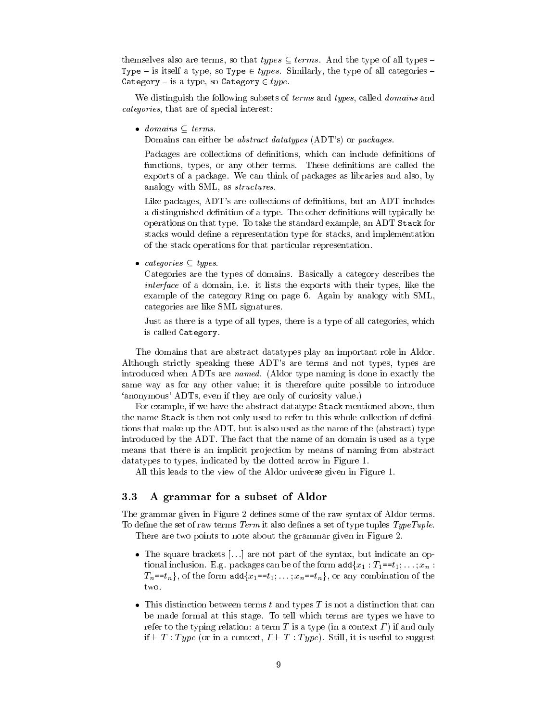themselves also are terms, so that *types*  $\subseteq$  *terms*. And the type of all types – Type – is itself a type, so Type  $\in types$ . Similarly, the type of all categories – Category – is a type, so Category  $\in type$ .

We distinguish the following subsets of *terms* and *types*, called *domains* and *categories*, that are of special interest:

 $\bullet$  domains  $\subset$  terms.

Domains can either be *abstract datatypes* (ADT's) or *packages*.

Packages are collections of definitions, which can include definitions of functions, types, or any other terms. These definitions are called the exports of a package. We can think of packages as libraries and also, by analogy with SML, as *structures*.

Like packages, ADT's are collections of definitions, but an ADT includes a distinguished definition of a type. The other definitions will typically be operations on that type. To take the standard example, an ADT Stack for stacks would define a representation type for stacks, and implementation of the stack operations for that particular representation.

• categories  $\subset$  types.

Categories are the types of domains. Basically a category describes the *interface* of a domain, i.e. it lists the exports with their types, like the example of the category Ring on page 6. Again by analogy with SML, categories are like SML signatures.

Just as there is a type of all types, there is a type of all categories, which is called Category.

The domains that are abstract data types play an important role in Aldor. Although strictly speaking these ADT's are terms and not types, types are introduced when ADTs are named. (Aldor type naming is done in exactly the same way as for any other value; it is therefore quite possible to introduce 'anonymous' ADTs, even if they are only of curiosity value.)

For example, if we have the abstract data type Stack mentioned above, then the name Stack is then not only used to refer to this whole collection of definitions that make up the ADT, but is also used as the name of the (abstract) type introduced by the ADT. The fact that the name of an domain is used as a type means that there is an implicit projection by means of naming from abstract data types to types, indicated by the dotted arrow in Figure 1.

All this leads to the view of the Aldor universe given in Figure 1.

### 3.3 A grammar for a subset of Aldor

The grammar given in Figure 2 defines some of the raw syntax of Aldor terms. To define the set of raw terms  $Term$  it also defines a set of type tuples  $Type \,Tuple.$ There are two points to note about the grammar given in Figure 2.

- The square brackets  $[...]$  are not part of the syntax, but indicate an optional inclusion. E.g. packages can be of the form  $\text{add}\{x_1: T_1 = t_1, \ldots, x_n\}$  $T_n = t_n$ , of the form add $\{x_1 = t_1, \ldots, x_n = t_n\}$ , or any combination of the two.
- This distinction between terms  $t$  and types  $T$  is not a distinction that can be made formal at this stage. To tell which terms are types we have to refer to the typing relation: a term  $T$  is a type (in a context  $\Gamma$ ) if and only if  $\vdash T$ : Type (or in a context,  $\Gamma \vdash T$ : Type). Still, it is useful to suggest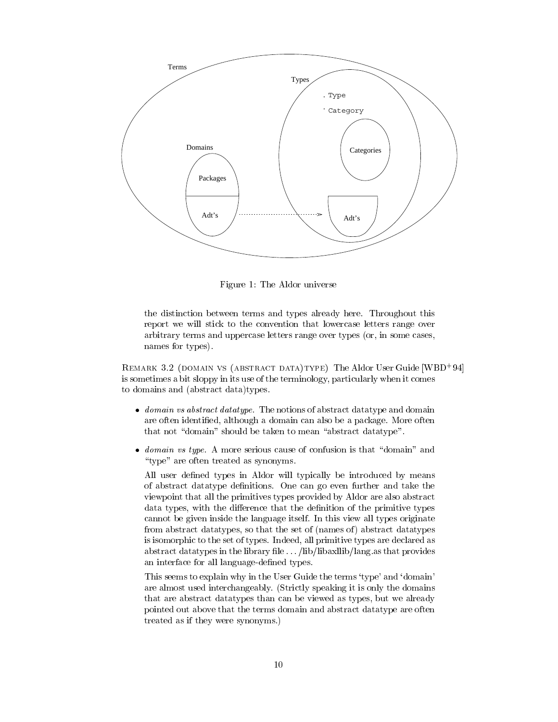

Figure 1: The Aldor universe

the distinction between terms and types already here. Throughout this report we will stick to the convention that lowercase letters range over arbitrary terms and uppercase letters range over types (or, in some cases, names for types).

REMARK 3.2 (DOMAIN VS (ABSTRACT DATA)TYPE) The Aldor User Guide [WBD+94] is sometimes a bit sloppy in its use of the terminology, particularly when it comes to domains and (abstract data)types.

- domain vs abstract datatype. The notions of abstract datatype and domain are often identified, although a domain can also be a package. More often that not "domain" should be taken to mean "abstract datatype".
- *domain vs type.* A more serious cause of confusion is that "domain" and "type" are often treated as synonyms.

All user defined types in Aldor will typically be introduced by means of abstract datatype definitions. One can go even further and take the viewpoint that all the primitives types provided by Aldor are also abstract data types, with the difference that the definition of the primitive types cannot be given inside the language itself. In this view all types originate from abstract data types, so that the set of (names of) abstract data types is isomorphic to the set of types. Indeed, all primitive types are declared as abstract datatypes in the library file ... /lib/libaxllib/lang.as that provides an interface for all language-defined types.

This seems to explain why in the User Guide the terms 'type' and 'domain' are almost used interchangeably. (Strictly speaking it is only the domains that are abstract data types than can be viewed as types, but we already pointed out above that the terms domain and abstract datatype are often treated as if they were synonyms.)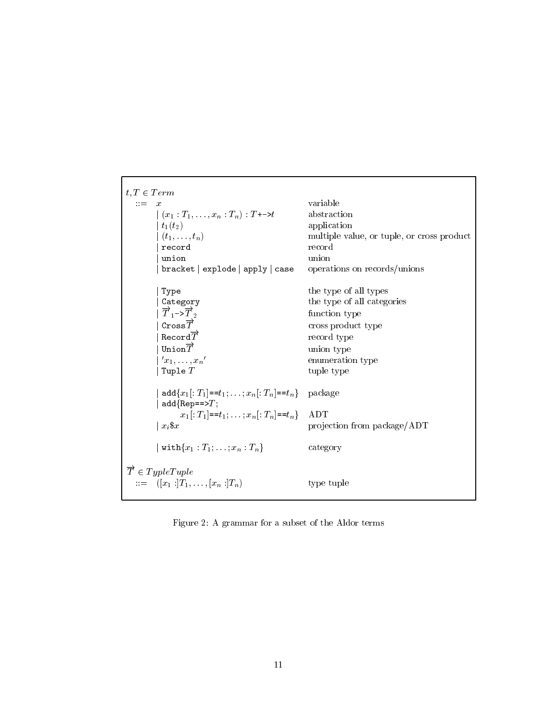$t, T \in Term$  $\mathbf{r} := -x$ variable  $|(x_1:T_1,\ldots,x_n:T_n):T\rightarrow t$ abstraction  $\mid t_1(t_2) \mid$ application  $(t_1,\ldots,t_n)$ multiple value, or tuple, or cross product record record union union  $bracket |$ explode  $|$ apply  $|$ case operations on records/unions the type of all types Type Category the type of all categories  $\overrightarrow{T}_1$ -> $\overrightarrow{T}_2$ function type  $\texttt{Cross}\overrightarrow{T}$ cross product type Record $\overrightarrow{T}$ record type Union $\overrightarrow{T}$ union type  $x_1,\ldots,x_n'$ enumeration type Tuple  $T$ tuple type | add $\{x_1$ [:  $T_1$ ]== $t_1$ ; ...;  $x_n$ [:  $T_n$ ]== $t_n$ } package  $add\{Rep==\mathcal{F}\}\$  $x_1$ [:  $T_1$ ]== $t_1$ ; ...;  $x_n$ [:  $T_n$ ]== $t_n$ } ADT projection from package/ADT  $\vert x_i \$  $\vert \text{ with} \{x_1 : T_1; \ldots; x_n : T_n\}\vert$ category  $\overrightarrow{T} \in TypeTuple$  $\cdots = \left[ (x_1 : \hat{T}_1, \ldots, [x_n : T_n]) \right]$ type tuple

Figure 2: A grammar for a subset of the Aldor terms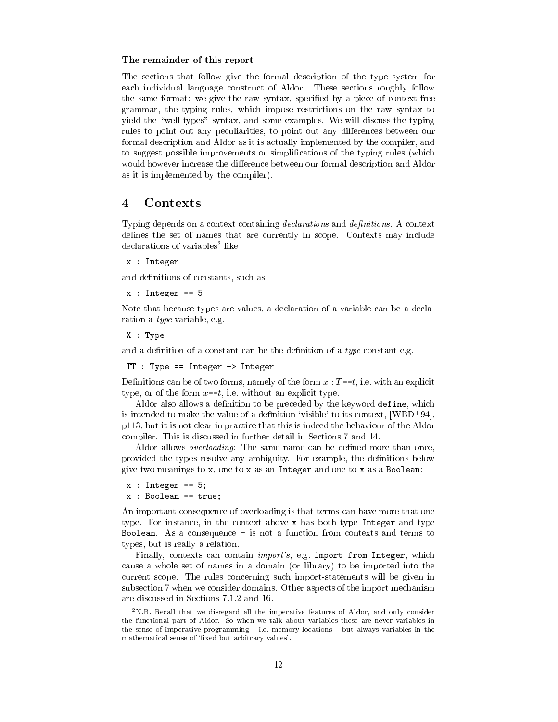# The remainder of this report

The sections that follow give the formal description of the type system for each individual language construct of Aldor. These sections roughly follow the same format: we give the raw syntax, specified by a piece of context-free grammar, the typing rules, which impose restrictions on the raw syntax to yield the "well-types" syntax, and some examples. We will discuss the typing rules to point out any peculiarities, to point out any differences between our formal description and Aldor as it is actually implemented by the compiler, and to suggest possible improvements or simplifications of the typing rules (which would however increase the difference between our formal description and Aldor as it is implemented by the compiler).

### $\overline{\mathbf{4}}$ Contexts

Typing depends on a context containing declarations and definitions. A context defines the set of names that are currently in scope. Contexts may include declarations of variables<sup>2</sup> like

```
x : Integer
```
and definitions of constants, such as

```
x: Integer == 5
```
Note that because types are values, a declaration of a variable can be a declaration a *type*-variable, e.g.

 $X : Type$ 

and a definition of a constant can be the definition of a type-constant e.g.

```
TT : Type == Integer \rightarrow Integer
```
Definitions can be of two forms, namely of the form  $x : T = t$ , i.e. with an explicit type, or of the form  $x == t$ , i.e. without an explicit type.

Aldor also allows a definition to be preceded by the keyword define, which is intended to make the value of a definition 'visible' to its context,  $[WBD^+94]$ , p113, but it is not clear in practice that this is indeed the behaviour of the Aldor compiler. This is discussed in further detail in Sections 7 and 14.

Aldor allows *overloading*: The same name can be defined more than once, provided the types resolve any ambiguity. For example, the definitions below give two meanings to  $x$ , one to  $x$  as an Integer and one to  $x$  as a Boolean:

```
x : Integer == 5;
```

```
x : Boolean == true;
```
An important consequence of overloading is that terms can have more that one type. For instance, in the context above x has both type Integer and type Boolean. As a consequence  $\vdash$  is not a function from contexts and terms to types, but is really a relation.

Finally, contexts can contain *import's*, e.g. import from Integer, which cause a whole set of names in a domain (or library) to be imported into the current scope. The rules concerning such import-statements will be given in subsection 7 when we consider domains. Other aspects of the import mechanism are discussed in Sections 7.1.2 and 16.

 $2N.B.$  Recall that we disregard all the imperative features of Aldor, and only consider the functional part of Aldor. So when we talk about variables these are never variables in the sense of imperative programming  $-$  i.e. memory locations  $-$  but always variables in the mathematical sense of 'fixed but arbitrary values'.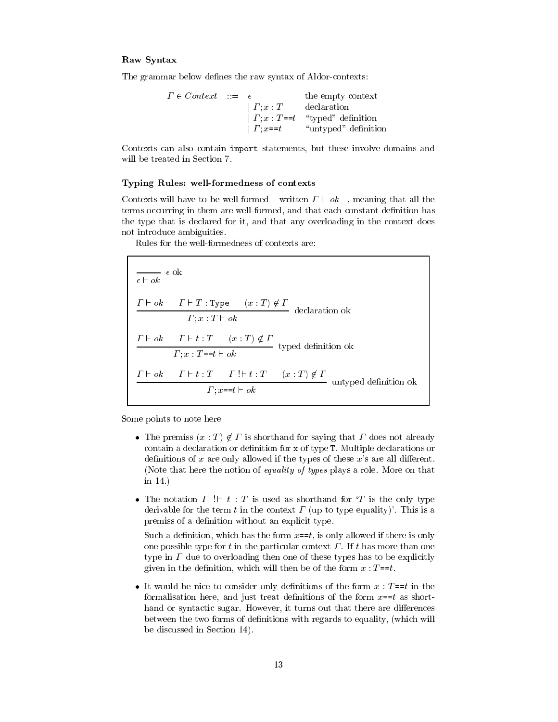# Raw Syntax

The grammar below defines the raw syntax of Aldor-contexts:

 $\Gamma \in Context \ \ ::= \ \ \epsilon$ the empty context  $\begin{array}{ll} \begin{array}{ll} \text{if } \text{if } r \in \mathbb{R}^n, \ r \in \mathbb{R}^n, \ r \in \mathbb{R}^n, \ r \in \mathbb{R}^n, \ r \in \mathbb{R}^n, \ r \in \mathbb{R}^n, \ r \in \mathbb{R}^n, \ r \in \mathbb{R}^n, \ \text{if } r \in \mathbb{R}^n, \ r \in \mathbb{R}^n, \ \text{if } r \in \mathbb{R}^n, \ r \in \mathbb{R}^n, \ \text{if } r \in \mathbb{R}^n, \ r \in \mathbb{R}^n,$ "untyped" definition

Contexts can also contain import statements, but these involve domains and will be treated in Section 7.

# Typing Rules: well-formedness of contexts

Contexts will have to be well-formed – written  $\Gamma \vdash ok$  –, meaning that all the terms occurring in them are well-formed, and that each constant definition has the type that is declared for it, and that any overloading in the context does not introduce ambiguities.

Rules for the well-formedness of contexts are:

 $\overline{\epsilon \vdash ok} \ \ \epsilon$ ok  $\frac{\varGamma\vdash ok\quad \ \ \varGamma\vdash T: \texttt{Type}\qquad (x:T)\not\in\varGamma}{\varGamma;x:T\vdash ok}\text{~ declaration~ok}$  $\frac{\Gamma \vdash ok \quad \Gamma \vdash t : T \quad (x : T) \not\in \Gamma \text{ } }{\Gamma ; x : T{=}{t \vdash ok} \text{ } } \text{ typed definition ok}$  $\frac{\Gamma \vdash ok \quad \Gamma \vdash t : T \quad \Gamma \vdash t : T \quad (x : T) \notin \Gamma}{\Gamma : x = t \vdash ok}$ untyped definition ok

Some points to note here

- The premiss  $(x : T) \notin \Gamma$  is shorthand for saying that  $\Gamma$  does not already contain a declaration or definition for x of type T. Multiple declarations or definitions of x are only allowed if the types of these  $x$ 's are all different. (Note that here the notion of equality of types plays a role. More on that in  $14.$ )
- The notation  $\Gamma$  !  $\vdash t$  : T is used as shorthand for 'T is the only type derivable for the term t in the context  $\Gamma$  (up to type equality). This is a premiss of a definition without an explicit type.

Such a definition, which has the form  $x == t$ , is only allowed if there is only one possible type for t in the particular context  $\Gamma$ . If t has more than one type in  $\Gamma$  due to overloading then one of these types has to be explicitly given in the definition, which will then be of the form  $x : T == t$ .

• It would be nice to consider only definitions of the form  $x : T == t$  in the formalisation here, and just treat definitions of the form  $x=0$  as shorthand or syntactic sugar. However, it turns out that there are differences between the two forms of definitions with regards to equality, (which will be discussed in Section 14).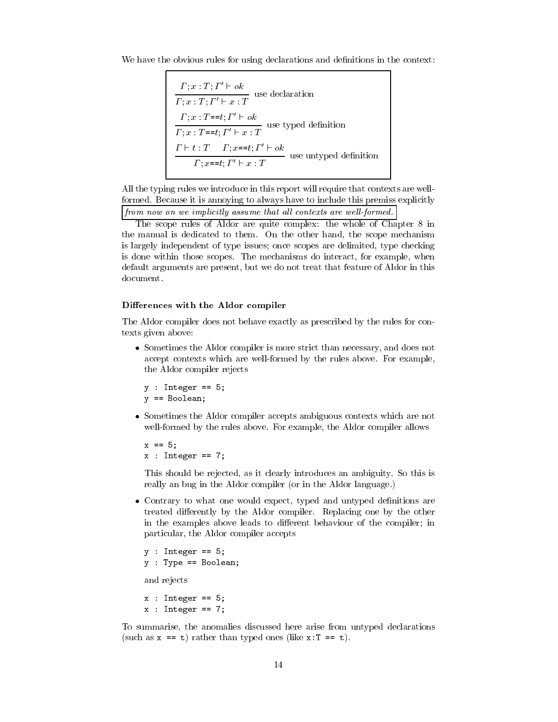We have the obvious rules for using declarations and definitions in the context:

$$
\frac{\Gamma; x: T; \Gamma' \vdash ok}{\Gamma; x: T; \Gamma' \vdash x: T}
$$
use declaration  

$$
\frac{\Gamma; x: T = t; \Gamma' \vdash ok}{\Gamma; x: T = t; \Gamma' \vdash x: T}
$$
use typed definition  

$$
\frac{\Gamma \vdash t: T \quad \Gamma; x = t; \Gamma' \vdash ok}{\Gamma; x = t; \Gamma' \vdash x: T}
$$
use untyped definition  

$$
\frac{\Gamma \vdash t: T \quad \Gamma; x = t; \Gamma' \vdash x: T}{\Gamma; x = t; \Gamma' \vdash x: T}
$$

All the typing rules we introduce in this report will require that contexts are wellformed. Because it is annoying to always have to include this premiss explicitly from now on we implicitly assume that all contexts are well-formed.

The scope rules of Aldor are quite complex: the whole of Chapter 8 in the manual is dedicated to them. On the other hand, the scope mechanism is largely independent of type issues; once scopes are delimited, type checking is done within those scopes. The mechanisms do interact, for example, when default arguments are present, but we do not treat that feature of Aldor in this document.

# Differences with the Aldor compiler

The Aldor compiler does not behave exactly as prescribed by the rules for contexts given above:

• Sometimes the Aldor compiler is more strict than necessary, and does not accept contexts which are well-formed by the rules above. For example, the Aldor compiler rejects

```
y : Integer == 5;
y == Boolean;
```
• Sometimes the Aldor compiler accepts ambiguous contexts which are not well-formed by the rules above. For example, the Aldor compiler allows

 $x == 5;$  $x$  : Integer == 7;

This should be rejected, as it clearly introduces an ambiguity. So this is really an bug in the Aldor compiler (or in the Aldor language.)

• Contrary to what one would expect, typed and untyped definitions are treated differently by the Aldor compiler. Replacing one by the other in the examples above leads to different behaviour of the compiler; in particular, the Aldor compiler accepts

```
y : Integer == 5;
y : Type == Boolean;and rejects
x : Integer == 5;
x : Integer == 7;
```
To summarise, the anomalies discussed here arise from untyped declarations (such as  $x == t$ ) rather than typed ones (like  $x:T == t$ ).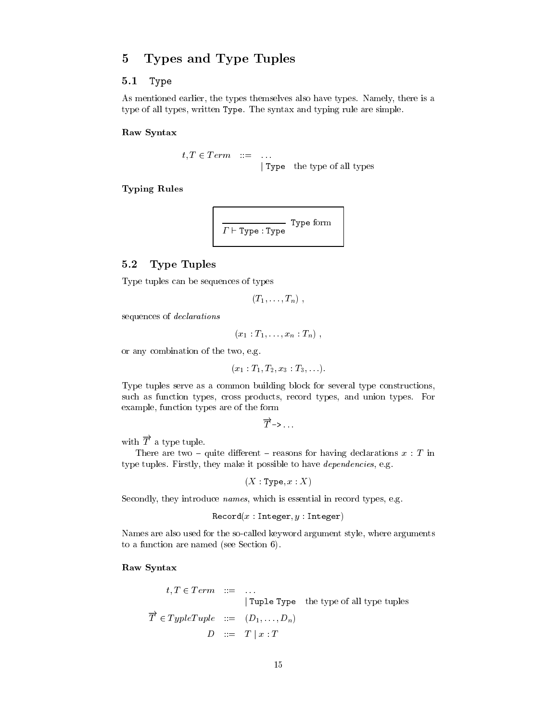### $\overline{5}$ Types and Type Tuples

### $5.1$ Type

As mentioned earlier, the types themselves also have types. Namely, there is a type of all types, written Type. The syntax and typing rule are simple.

Raw Syntax

 $t, T \in Term \quad ::= \quad ...$ <br>
| Type the type of all types

**Typing Rules** 

$$
\fbox{Type: Type Type} \\
$$

### **Type Tuples**  $5.2$

Type tuples can be sequences of types

$$
(T_1,\ldots,T_n)\ ,
$$

sequences of *declarations* 

 $(x_1: T_1, \ldots, x_n: T_n)$ ,

or any combination of the two, e.g.

$$
(x_1 : T_1, T_2, x_3 : T_3, ...).
$$

Type tuples serve as a common building block for several type constructions, such as function types, cross products, record types, and union types. For example, function types are of the form

 $\overrightarrow{T}$  -> ...

with  $\overrightarrow{T}$  a type tuple.

There are two – quite different – reasons for having declarations  $x : T$  in type tuples. Firstly, they make it possible to have *dependencies*, e.g.

 $(X:Type, x: X)$ 

Secondly, they introduce names, which is essential in record types, e.g.

 $\texttt{Record}(x:\texttt{Integer}, y:\texttt{Integer})$ 

Names are also used for the so-called keyword argument style, where arguments to a function are named (see Section 6).

# Raw Syntax

$$
t, T \in Term \quad ::= \quad ...
$$
  
|\n**Tuple Type** the type of all type tuples  

$$
\overrightarrow{T} \in TypeTuple \quad ::= \quad (D_1, ..., D_n)
$$
  

$$
D \quad ::= \quad T \mid x : T
$$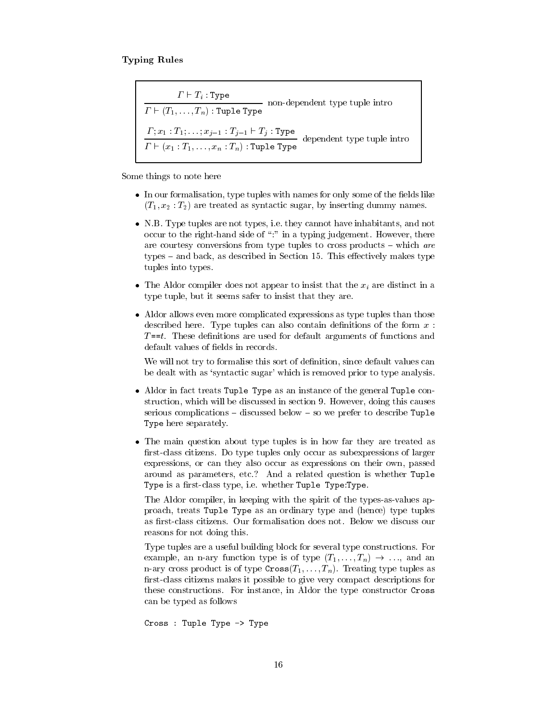$\frac{\Gamma \vdash T_i : \texttt{Type}}{\Gamma \vdash (T_1, \ldots, T_n) : \texttt{Tuple Type}}$  non-dependent type tuple intro  $\frac{\Gamma; x_1 : T_1; \ldots; x_{j-1} : T_{j-1} \vdash T_j : \text{Type}}{\Gamma \vdash (x_1 : T_1, \ldots, x_n : T_n) : \text{Tuple Type}}$  dependent type tuple intro

Some things to note here

- In our formalisation, type tuples with names for only some of the fields like  $(T_1, x_2 : T_2)$  are treated as syntactic sugar, by inserting dummy names.
- N.B. Type tuples are not types, i.e. they cannot have inhabitants, and not occur to the right-hand side of "." in a typing judgement. However, there are courtesy conversions from type tuples to cross products – which are types – and back, as described in Section 15. This effectively makes type tuples into types.
- The Aldor compiler does not appear to insist that the  $x_i$  are distinct in a type tuple, but it seems safer to insist that they are.
- Aldor allows even more complicated expressions as type tuples than those described here. Type tuples can also contain definitions of the form  $x$ :  $T = t$ . These definitions are used for default arguments of functions and default values of fields in records.

We will not try to formalise this sort of definition, since default values can be dealt with as 'syntactic sugar' which is removed prior to type analysis.

- Aldor in fact treats Tuple Type as an instance of the general Tuple construction, which will be discussed in section 9. However, doing this causes serious complications – discussed below – so we prefer to describe Tuple Type here separately.
- The main question about type tuples is in how far they are treated as first-class citizens. Do type tuples only occur as subexpressions of larger expressions, or can they also occur as expressions on their own, passed around as parameters, etc.? And a related question is whether Tuple Type is a first-class type, i.e. whether Tuple Type:Type.

The Aldor compiler, in keeping with the spirit of the types-as-values approach, treats Tuple Type as an ordinary type and (hence) type tuples as first-class citizens. Our formalisation does not. Below we discuss our reasons for not doing this.

Type tuples are a useful building block for several type constructions. For example, an n-ary function type is of type  $(T_1, \ldots, T_n) \rightarrow \ldots$ , and an n-ary cross product is of type  $\text{Cross}(T_1, \ldots, T_n)$ . Treating type tuples as first-class citizens makes it possible to give very compact descriptions for these constructions. For instance, in Aldor the type constructor Cross can be typed as follows

Cross : Tuple Type -> Type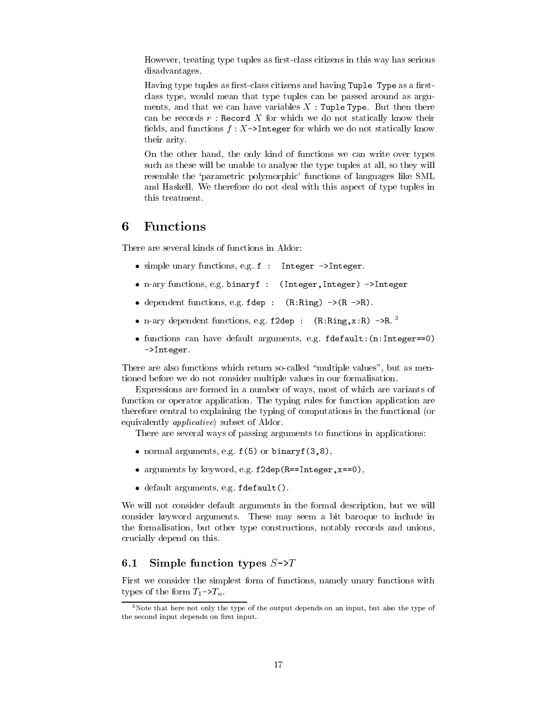However, treating type tuples as first-class citizens in this way has serious disadvantages.

Having type tuples as first-class citizens and having Tuple Type as a firstclass type, would mean that type tuples can be passed around as arguments, and that we can have variables  $X$ : Tuple Type. But then there can be records  $r$ : Record X for which we do not statically know their fields, and functions  $f: X \rightarrow$ Integer for which we do not statically know their arity.

On the other hand, the only kind of functions we can write over types such as these will be unable to analyse the type tuples at all, so they will resemble the 'parametric polymorphic' functions of languages like SML and Haskell. We therefore do not deal with this aspect of type tuples in this treatment.

### 6  $\mathbf{Functions}$

There are several kinds of functions in Aldor.

- simple unary functions, e.g. f : Integer ->Integer.
- n-ary functions, e.g. binaryf : (Integer, Integer) ->Integer
- dependent functions, e.g.  $fdep$  :  $(R: Ring)$  -> $(R > R)$ .
- n-ary dependent functions, e.g.  $f2dep$ :  $(R: Ring, x:R)$  ->R.<sup>3</sup>
- $\bullet$  functions can have default arguments, e.g. fdefault:  $(n:Integer==0)$ ->Integer.

There are also functions which return so-called "multiple values", but as mentioned before we do not consider multiple values in our formalisation.

Expressions are formed in a number of ways, most of which are variants of function or operator application. The typing rules for function application are therefore central to explaining the typing of computations in the functional (or equivalently *applicative*) subset of Aldor.

There are several ways of passing arguments to functions in applications:

- normal arguments, e.g.  $f(5)$  or binaryf $(3,8)$ ,
- arguments by keyword, e.g. f2dep (R==Integer, x==0),
- $\bullet$  default arguments, e.g. fdefault().

We will not consider default arguments in the formal description, but we will consider keyword arguments. These may seem a bit baroque to include in the formalisation, but other type constructions, notably records and unions, crucially depend on this.

### Simple function types  $S\rightarrow T$  $6.1$

First we consider the simplest form of functions, namely unary functions with types of the form  $T_1 \rightarrow T_n$ .

 $3$ Note that here not only the type of the output depends on an input, but also the type of the second input depends on first input.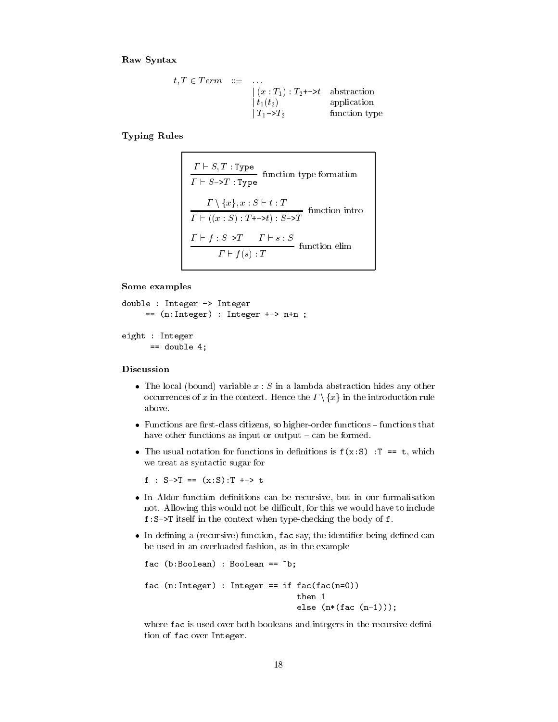Raw Syntax

$$
t, T \in Term \quad ::= \quad ...
$$
\n
$$
\begin{array}{rcl}\n\mid (x : T_1) : T_2 \rightarrow t \quad \text{abstraction} \\
\mid t_1(t_2) & \text{application} \\
\mid T_1 \rightarrow T_2 & \text{function type}\n\end{array}
$$

**Typing Rules** 

$$
\frac{\Gamma \vdash S, T : \text{Type}}{\Gamma \vdash S \to T : \text{Type}} \text{ function type formation}
$$
\n
$$
\frac{\Gamma \setminus \{x\}, x : S \vdash t : T}{\Gamma \vdash ((x : S) : T \dashrightarrow t) : S \to T} \text{ function into}
$$
\n
$$
\frac{\Gamma \vdash f : S \to T \quad \Gamma \vdash s : S}{\Gamma \vdash f(s) : T} \text{ function elim}
$$

Some examples

```
double : Integer -> Integer
     == (n:Integer) : Integer += > n+n ;eight : Integer
```

```
== double 4;
```
# Discussion

- The local (bound) variable  $x : S$  in a lambda abstraction hides any other occurrences of x in the context. Hence the  $\Gamma \setminus \{x\}$  in the introduction rule above.
- Functions are first-class citizens, so higher-order functions functions that have other functions as input or output  $-\text{can be formed}$ .
- The usual notation for functions in definitions is  $f(x:S)$ : T == t, which we treat as syntactic sugar for

f :  $S - \sum T = (x : S) : T + \sum t$ 

- In Aldor function definitions can be recursive, but in our formalisation not. Allowing this would not be difficult, for this we would have to include f:S->T itself in the context when type-checking the body of f.
- In defining a (recursive) function, fac say, the identifier being defined can be used in an overloaded fashion, as in the example

```
fac (b:Boolean): Boolean == "b;
fac (n:Integer) : Integer == if fac(fac(n=0))then 1
                                else (n*(fac (n-1)));
```
where fac is used over both booleans and integers in the recursive definition of fac over Integer.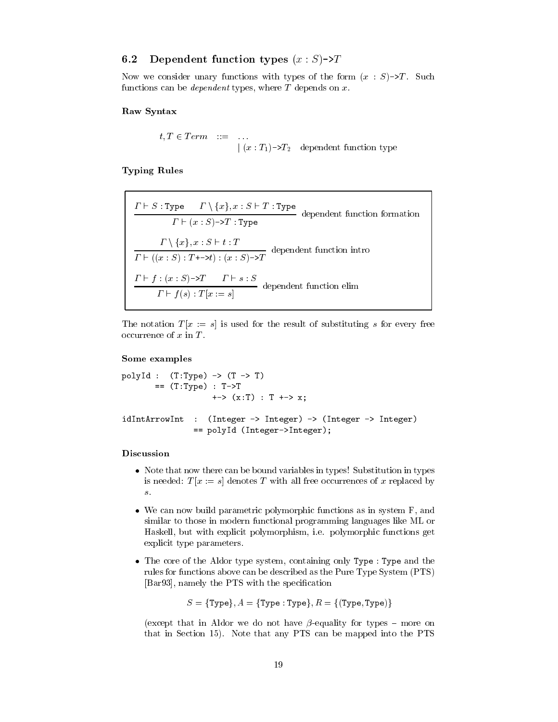### Dependent function types  $(x : S)$ ->T 6.2

Now we consider unary functions with types of the form  $(x : S)$ ->T. Such functions can be *dependent* types, where  $T$  depends on  $x$ .

# Raw Syntax

 $t, T \in Term \quad ::= \quad \dots \; | \; (x : T_1) \rightarrow T_2 \quad \text{dependent function type}$ 

**Typing Rules** 

$$
\frac{\Gamma \vdash S : \text{Type} \qquad \Gamma \setminus \{x\}, x : S \vdash T : \text{Type}}{\Gamma \vdash (x : S) \rightarrow T : \text{Type}}
$$
 dependent function formation\n
$$
\frac{\Gamma \setminus \{x\}, x : S \vdash t : T}{\Gamma \vdash ((x : S) : T \rightarrow t) : (x : S) \rightarrow T}
$$
 dependent function intro\n
$$
\frac{\Gamma \vdash f : (x : S) \rightarrow T \qquad \Gamma \vdash s : S}{\Gamma \vdash f(s) : T[x := s]}
$$
dependent function elim

The notation  $T[x := s]$  is used for the result of substituting s for every free occurrence of  $x$  in  $T$ .

# Some examples

```
polyId : (T:Type) -> (T \rightarrow T)= (T:Type) : T->T\leftarrow > (x:T) : T \leftarrow > x;
idIntArrowInt : (Integer -> Integer) -> (Integer -> Integer)
                 == polyId (Integer->Integer);
```
# Discussion

- Note that now there can be bound variables in types! Substitution in types is needed:  $T[x := s]$  denotes T with all free occurrences of x replaced by  $\boldsymbol{S}$  .
- We can now build parametric polymorphic functions as in system F, and similar to those in modern functional programming languages like ML or Haskell, but with explicit polymorphism, i.e. polymorphic functions get explicit type parameters.
- The core of the Aldor type system, containing only Type : Type and the rules for functions above can be described as the Pure Type System (PTS) [Bar93], namely the PTS with the specification

 $S = {Type}, A = {Type : Type}, R = { (Type, Type)}$ 

(except that in Aldor we do not have  $\beta$ -equality for types – more on that in Section 15). Note that any PTS can be mapped into the PTS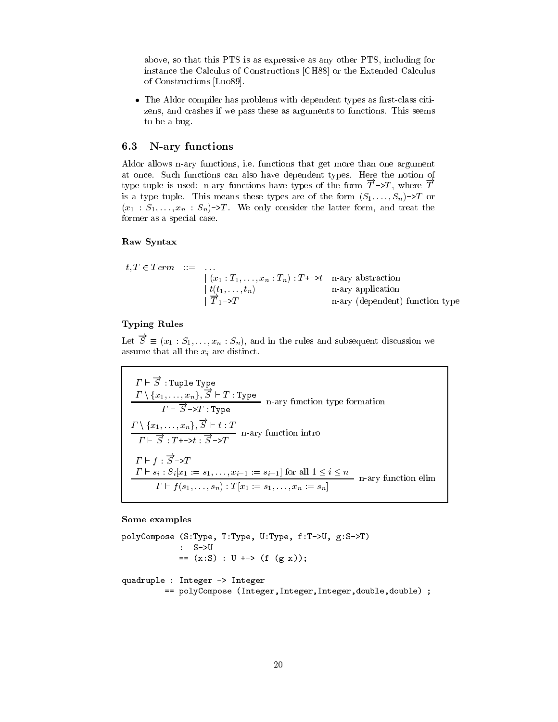above, so that this PTS is as expressive as any other PTS, including for instance the Calculus of Constructions [CH88] or the Extended Calculus of Constructions [Luo89].

• The Aldor compiler has problems with dependent types as first-class citizens, and crashes if we pass these as arguments to functions. This seems to be a bug.

### N-ary functions 6.3

Aldor allows n-ary functions, i.e. functions that get more than one argument at once. Such functions can also have dependent types. Here the notion of type tuple is used: n-ary functions have types of the form  $\overrightarrow{T}$  ->T, where  $\overrightarrow{T}$ is a type tuple. This means these types are of the form  $(S_1, \ldots, S_n)$ ->T or  $(x_1 : S_1, \ldots, x_n : S_n)$ ->T. We only consider the latter form, and treat the former as a special case.

# Raw Syntax

$$
t, T \in Term \quad ::= \quad \dots \\
 \begin{array}{rcl}\n | & (x_1 : T_1, \dots, x_n : T_n) : T \rightarrow \rightarrow t \\
 & | & (t_1, \dots, t_n) \\
 & | & \overline{T}_1 \rightarrow T\n \end{array}\n \quad \text{or} \quad \text{a-ray application} \quad \text{a-plication}
$$

# **Typing Rules**

Let  $\vec{S} \equiv (x_1 : S_1, \ldots, x_n : S_n)$ , and in the rules and subsequent discussion we assume that all the  $x_i$  are distinct.

$$
\Gamma \vdash \overrightarrow{S} : \text{Tuple Type}
$$
\n
$$
\frac{\Gamma \setminus \{x_1, \ldots, x_n\}, \overrightarrow{S} \vdash T : \text{Type}}{\Gamma \vdash \overrightarrow{S} \rightarrow T : \text{Type}}
$$
\n
$$
\frac{\Gamma \setminus \{x_1, \ldots, x_n\}, \overrightarrow{S} \vdash t : T}{\Gamma \vdash \overrightarrow{S} : T \rightarrow \rightarrow t : \overrightarrow{S} \rightarrow T}
$$
\n
$$
\frac{\Gamma \vdash f : \overrightarrow{S} \rightarrow T}{\Gamma \vdash s_i : S_i[x_1 := s_1, \ldots, x_{i-1} := s_{i-1}] \text{ for all } 1 \leq i \leq n}
$$
\n
$$
\frac{\Gamma \vdash s_i : S_i[x_1 := s_1, \ldots, x_{i-1} := s_{i-1}] \text{ for all } 1 \leq i \leq n}{\Gamma \vdash f(s_1, \ldots, s_n) : T[x_1 := s_1, \ldots, x_n := s_n]}
$$

### Some examples

```
polyCompose (S:Type, T:Type, U:Type, f:T->U, g:S->T)
                        : S->U\hspace{.15cm} = \hspace{.15cm} (x\!:\!S) \hspace{.15cm} : \hspace{.15cm} U \hspace{.15cm} + \hspace{.15cm} \text{\hspace{.15cm}} > \hspace{.15cm} (f \hspace{.15cm} (g \hspace{.15cm} x)) \hspace{.15cm} ;quadruple : Integer -> Integer
                  == polyCompose (Integer, Integer, Integer, double, double) ;
```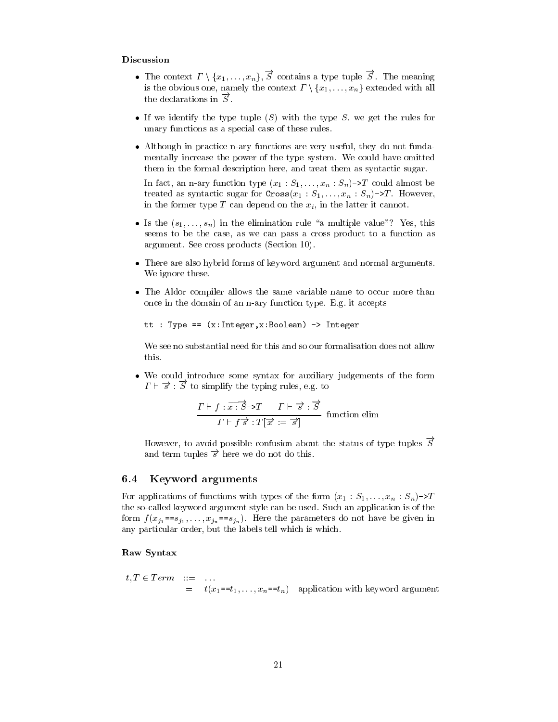# Discussion

- The context  $\Gamma \setminus \{x_1, \ldots, x_n\}, \overrightarrow{S}$  contains a type tuple  $\overrightarrow{S}$ . The meaning is the obvious one, namely the context  $\Gamma \setminus \{x_1, \ldots, x_n\}$  extended with all the declarations in  $\overline{S}$ .
- If we identify the type tuple  $(S)$  with the type S, we get the rules for unary functions as a special case of these rules.
- Although in practice n-ary functions are very useful, they do not fundamentally increase the power of the type system. We could have omitted them in the formal description here, and treat them as syntactic sugar.

In fact, an n-ary function type  $(x_1 : S_1, \ldots, x_n : S_n)$ ->T could almost be treated as syntactic sugar for  $\text{Cross}(x_1 : S_1, \ldots, x_n : S_n) \rightarrow T$ . However, in the former type  $T$  can depend on the  $x_i$ , in the latter it cannot.

- Is the  $(s_1, \ldots, s_n)$  in the elimination rule "a multiple value"? Yes, this seems to be the case, as we can pass a cross product to a function as argument. See cross products (Section 10).
- There are also hybrid forms of keyword argument and normal arguments. We ignore these.
- The Aldor compiler allows the same variable name to occur more than once in the domain of an n-ary function type. E.g. it accepts

```
tt : Type == (x:Integer,x:Boolean) -> Integer
```
We see no substantial need for this and so our formalisation does not allow this.

• We could introduce some syntax for auxiliary judgements of the form  $\Gamma \vdash \vec{s}$ :  $\vec{S}$  to simplify the typing rules, e.g. to

$$
\frac{\Gamma \vdash f : \overrightarrow{x : S} \rightarrow T \qquad \Gamma \vdash \overrightarrow{s} : \overrightarrow{S}}{\Gamma \vdash f \overrightarrow{s} : T[\overrightarrow{x} := \overrightarrow{s}]} \quad \text{function elim}
$$

However, to avoid possible confusion about the status of type tuples  $\overline{S}$ and term tuples  $\vec{s}$  here we do not do this.

### Keyword arguments  $6.4$

For applications of functions with types of the form  $(x_1 : S_1, \ldots, x_n : S_n) \rightarrow T$ the so-called keyword argument style can be used. Such an application is of the form  $f(x_{j_1} == s_{j_1}, \ldots, x_{j_n} == s_{j_n})$ . Here the parameters do not have be given in any particular order, but the labels tell which is which.

# Raw Syntax

 $t, T \in Term \quad ::= \quad \dots$  $=$   $t(x_1 = t_1, \ldots, x_n = t_n)$  application with keyword argument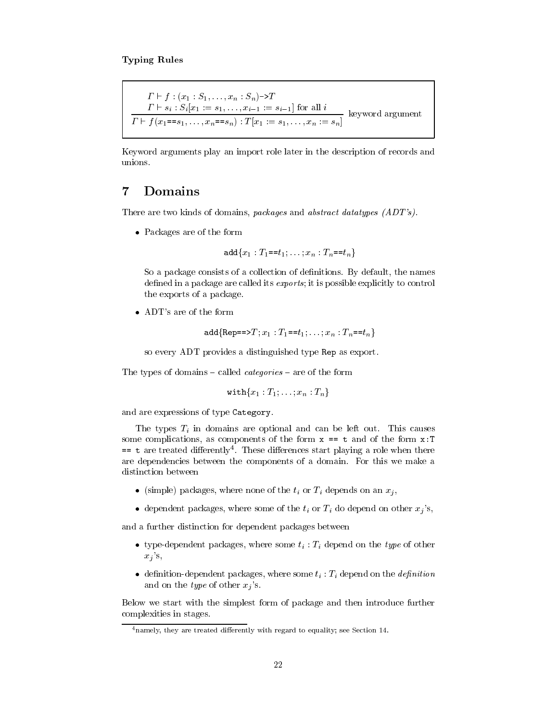$\Gamma \vdash f : (x_1 : S_1, \ldots, x_n : S_n) \rightarrow T$ <br>  $\Gamma \vdash s_i : S_i[x_1 := s_1, \ldots, x_{i-1} := s_{i-1}]$  for all  $i$ <br>  $\Gamma \vdash f(x_1 == s_1, \ldots, x_n == s_n) : T[x_1 := s_1, \ldots, x_n := s_n]$  keyword argument

Keyword arguments play an import role later in the description of records and unions.

### Domains  $\overline{7}$

There are two kinds of domains, packages and abstract datatypes (ADT's).

• Packages are of the form

$$
\text{add}\{x_1: T_1 = t_1; \ldots; x_n: T_n = t_n\}
$$

So a package consists of a collection of definitions. By default, the names defined in a package are called its *exports*; it is possible explicitly to control the exports of a package.

• ADT's are of the form

```
add\{Rep==\geq T; x_1 : T_1 == t_1; \ldots; x_n : T_n == t_n\}
```
so every ADT provides a distinguished type Rep as export.

The types of domains – called *categories* – are of the form

$$
\texttt{with}\{x_1:T_1,\ldots,x_n:T_n\}
$$

and are expressions of type Category.

The types  $T_i$  in domains are optional and can be left out. This causes some complications, as components of the form  $x == t$  and of the form  $x : T$  $=$  t are treated differently<sup>4</sup>. These differences start playing a role when there are dependencies between the components of a domain. For this we make a distinction between

- (simple) packages, where none of the  $t_i$  or  $T_i$  depends on an  $x_i$ ,
- dependent packages, where some of the  $t_i$  or  $T_i$  do depend on other  $x_i$ 's,

and a further distinction for dependent packages between

- type-dependent packages, where some  $t_i$ :  $T_i$  depend on the type of other  $x_j$ 's,
- definition-dependent packages, where some  $t_i$ :  $T_i$  depend on the *definition* and on the *type* of other  $x_j$ 's.

Below we start with the simplest form of package and then introduce further complexities in stages.

 $4$ namely, they are treated differently with regard to equality; see Section 14.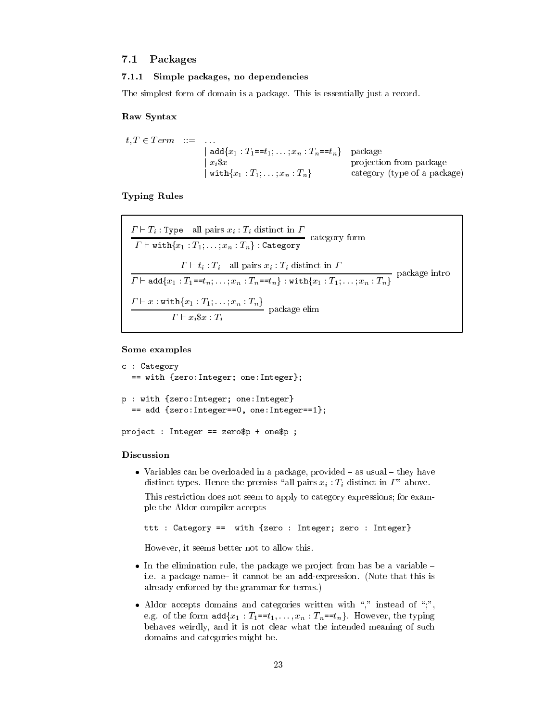### $7.1$ Packages

#### $7.1.1$ Simple packages, no dependencies

The simplest form of domain is a package. This is essentially just a record.

# Raw Syntax

 $t, T \in Term \quad ::= \quad \dots$ | add $\{x_1 : T_1 = t_1; \ldots; x_n : T_n = t_n\}$  package  $x_i$ \$x projection from package  $\vert \textnormal{ with} \{x_1: T_1; \ldots; x_n: T_n\}$ category (type of a package)

**Typing Rules** 

$$
\frac{\Gamma \vdash T_i : \text{Type}\quad \text{all pairs } x_i : T_i \text{ distinct in } \Gamma}{\Gamma \vdash \text{with}\{x_1 : T_1; \ldots; x_n : T_n\} : \text{Category} } \text{category} \text{ form}
$$
\n
$$
\frac{\Gamma \vdash t_i : T_i \quad \text{all pairs } x_i : T_i \text{ distinct in } \Gamma}{\Gamma \vdash \text{add}\{x_1 : T_1 = t_n; \ldots; x_n : T_n = t_n\} : \text{with}\{x_1 : T_1; \ldots; x_n : T_n\}} \text{ package into}
$$
\n
$$
\frac{\Gamma \vdash x : \text{with}\{x_1 : T_1; \ldots; x_n : T_n\}}{\Gamma \vdash x_i \$ x : T_i} \text{ package elim}
$$

# Some examples

```
c : Category
 == with {zero: Integer; one: Integer};
p : with {zero: Integer; one: Integer}
 == add {zero: Integer==0, one: Integer==1};
project : Integer == zero$p + one$p ;
```
# Discussion

• Variables can be overloaded in a package, provided  $-$  as usual  $-$  they have distinct types. Hence the premiss "all pairs  $x_i : T_i$  distinct in  $\Gamma$ " above. This restriction does not seem to apply to category expressions; for example the Aldor compiler accepts

```
ttt : Category == with {zero : Integer; zero : Integer}
```
However, it seems better not to allow this.

- In the elimination rule, the package we project from has be a variable  $$ i.e. a package name-it cannot be an add-expression. (Note that this is already enforced by the grammar for terms.)
- Aldor accepts domains and categories written with "," instead of ",", e.g. of the form  $add\{x_1 : T_1 = t_1, \ldots, x_n : T_n = t_n\}$ . However, the typing behaves weirdly, and it is not clear what the intended meaning of such domains and categories might be.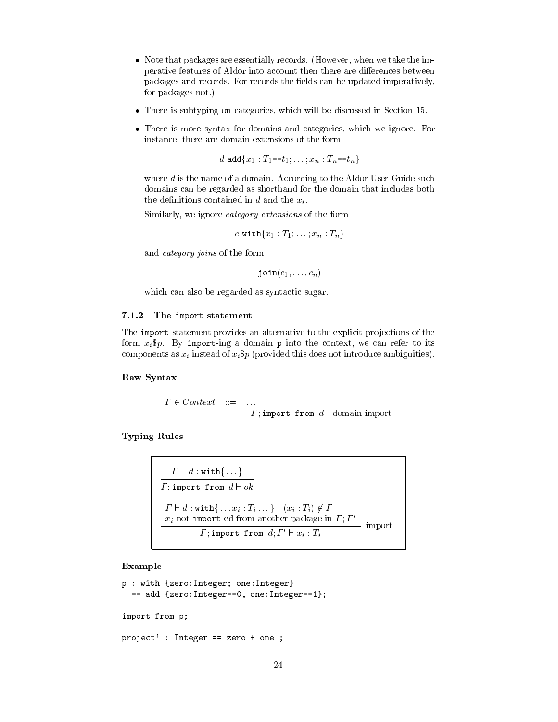- Note that packages are essentially records. (However, when we take the imperative features of Aldor into account then there are differences between packages and records. For records the fields can be updated imperatively, for packages not.)
- There is subtyping on categories, which will be discussed in Section 15.
- There is more syntax for domains and categories, which we ignore. For instance, there are domain-extensions of the form

d add ${x_1 : T_1 = t_1; \ldots; x_n : T_n = t_n}$ 

where  $d$  is the name of a domain. According to the Aldor User Guide such domains can be regarded as shorthand for the domain that includes both the definitions contained in  $d$  and the  $x_i$ .

Similarly, we ignore *category* extensions of the form

c with ${x_1 : T_1 : ... : x_n : T_n}$ 

and *category joins* of the form

 $\text{join}(c_1, \ldots, c_n)$ 

which can also be regarded as syntactic sugar.

#### 7.1.2 The import statement

The import-statement provides an alternative to the explicit projections of the form  $x_i$ \$p. By import-ing a domain p into the context, we can refer to its components as  $x_i$  instead of  $x_i$ \$p (provided this does not introduce ambiguities).

**Raw Syntax** 

 $\Gamma \in Context$  ::= ...<br> |  $\Gamma$ ; import from d domain import

**Typing Rules** 

 $\begin{array}{|l|l|} \hline & \varGamma \vdash d:\texttt{with}\{\dots\} \\ \hline \hline \varGamma; \texttt{import from $d \vdash ok$} \\ & \varGamma \vdash d:\texttt{with}\{\dots x_i:T_i\dots\} \quad (x_i:T_i)\not\in \varGamma \\ & \underline{x_i \text{ not import-ed from another package in } \varGamma; \varGamma' \\ & \varGamma; \texttt{import from $d; \varGamma' \vdash x_i : T_i$} \hline \end{array} \text{import}$ 

Example

```
p : with {zero: Integer; one: Integer}
 == add {zero: Integer==0, one: Integer==1};
import from p;
project': Integer == zero + one ;
```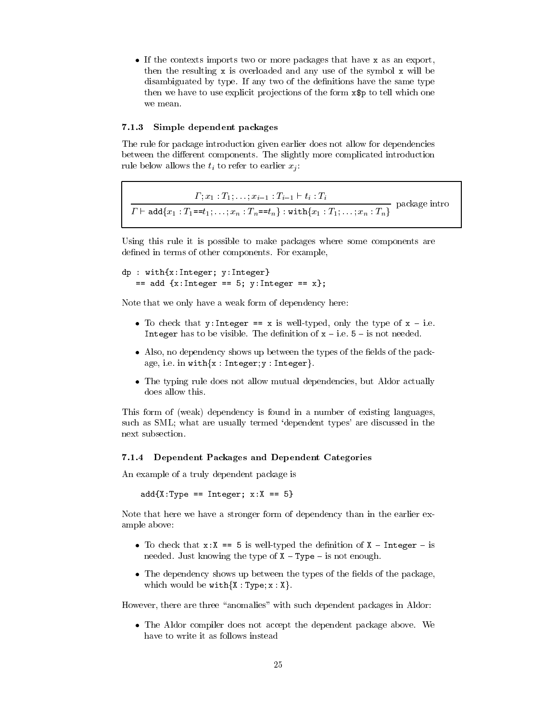• If the contexts imports two or more packages that have x as an export, then the resulting  $x$  is overloaded and any use of the symbol  $x$  will be disambiguated by type. If any two of the definitions have the same type then we have to use explicit projections of the form x\$p to tell which one we mean.

#### Simple dependent packages  $7.1.3$

The rule for package introduction given earlier does not allow for dependencies between the different components. The slightly more complicated introduction rule below allows the  $t_i$  to refer to earlier  $x_i$ .

 $\frac{\Gamma; x_1 : T_1; \ldots; x_{i-1} : T_{i-1} \vdash t_i : T_i}{\Gamma \vdash \texttt{add}\{x_1 : T_1 == t_1; \ldots; x_n : T_n == t_n\} : \texttt{with}\{x_1 : T_1; \ldots; x_n : T_n\}}$  package intro

Using this rule it is possible to make packages where some components are defined in terms of other components. For example,

```
dp : with\{x:Interger; v:Interger\}== add {x: Integer == 5; y: Integer == x};
```
Note that we only have a weak form of dependency here:

- To check that  $y:$  Integer == x is well-typed, only the type of  $x i.e.$ Integer has to be visible. The definition of  $x - i.e. 5 - i s$  not needed.
- Also, no dependency shows up between the types of the fields of the package, i.e. in with $\{x : Integer; y : Integer\}$ .
- The typing rule does not allow mutual dependencies, but Aldor actually does allow this.

This form of (weak) dependency is found in a number of existing languages, such as SML; what are usually termed 'dependent types' are discussed in the next subsection.

# 7.1.4 Dependent Packages and Dependent Categories

An example of a truly dependent package is

 $add{X:Type == Integer; x:X == 5}$ 

Note that here we have a stronger form of dependency than in the earlier example above:

- To check that  $x: X == 5$  is well-typed the definition of  $X$  Integer is needed. Just knowing the type of  $X - Type - is$  not enough.
- The dependency shows up between the types of the fields of the package, which would be  $with\{X:Type; x:X\}$ .

However, there are three "anomalies" with such dependent packages in Aldor:

• The Aldor compiler does not accept the dependent package above. We have to write it as follows instead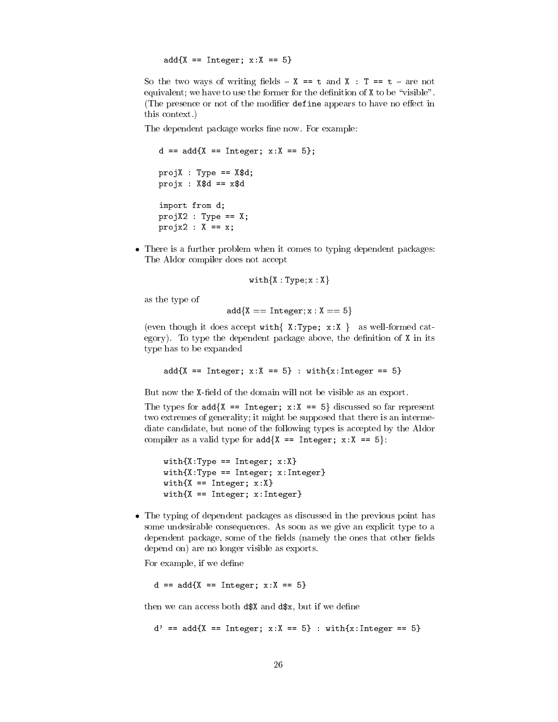$add{X} == Integer; x:X == 5$ 

So the two ways of writing fields -  $X == t$  and  $X : T == t -$  are not equivalent; we have to use the former for the definition of X to be "visible". (The presence or not of the modifier define appears to have no effect in this context.)

The dependent package works fine now. For example:

```
d == add{X == Integer; x:X == 5};projX : Type == X$d;projx : X$d == x$dimport from d;
projX2 : Type == X;
projx2 : X == x;
```
• There is a further problem when it comes to typing dependent packages: The Aldor compiler does not accept

```
with \{X: Type: x: X\}
```
as the type of

 $add{X == Integer: x : X == 5}$ 

(even though it does accept with  $\{ X : Type; x : X \}$  as well-formed category). To type the dependent package above, the definition of  $X$  in its type has to be expanded

 $add{X} == Integer; x:X == 5$ : with ${x:Integer == 5}$ 

But now the X-field of the domain will not be visible as an export.

The types for  $add\{X == Integer; x:X == 5\}$  discussed so far represent two extremes of generality; it might be supposed that there is an intermediate candidate, but none of the following types is accepted by the Aldor compiler as a valid type for  $add\{X == Integer; x:X == 5\}$ :

```
with\{X: Type == Integer; x:X\}with \{X: Type == Integer; x: Integer\}with\{X == Integer; x:X\}with\{X == Integer; x: Integer\}
```
• The typing of dependent packages as discussed in the previous point has some undesirable consequences. As soon as we give an explicit type to a dependent package, some of the fields (namely the ones that other fields depend on) are no longer visible as exports.

For example, if we define

 $d == add{X == Integer; x:X == 5}$ 

then we can access both d\$X and d\$x, but if we define

 $d' == add{X == Integer; x:X == 5} : with{x:Integer == 5}$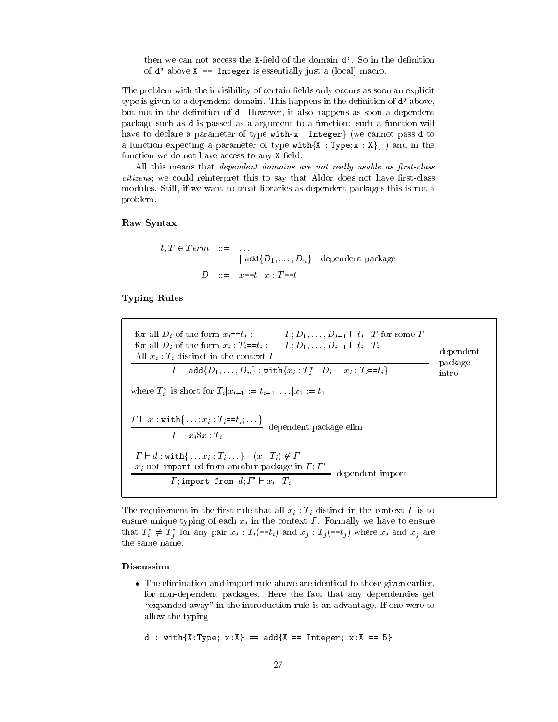then we can not access the X-field of the domain d'. So in the definition of  $d'$  above  $X ==$  Integer is essentially just a (local) macro.

The problem with the invisibility of certain fields only occurs as soon an explicit type is given to a dependent domain. This happens in the definition of d'above, but not in the definition of d. However, it also happens as soon a dependent package such as d is passed as a argument to a function: such a function will have to declare a parameter of type with $\{x : Integer\}$  (we cannot pass d to a function expecting a parameter of type with  $\{X : Type; x : X\}$ ) and in the function we do not have access to any X-field.

All this means that *dependent domains are not really usable as first-class citizens*; we could reinterpret this to say that Aldor does not have first-class modules. Still, if we want to treat libraries as dependent packages this is not a problem.

# Raw Syntax

$$
t, T \in Term \quad ::= \quad ...
$$
  
\n
$$
| \text{ add} \{D_1; \dots; D_n\} \quad \text{dependent package}
$$
  
\n
$$
D \quad ::= \quad x == t \mid x : T == t
$$

# **Typing Rules**

for all  $D_i$  of the form  $x_i = t_i$ :<br>  $\qquad$   $\qquad$   $\qquad$   $\qquad$   $\qquad$   $\qquad$   $\qquad$   $\qquad$   $\qquad$   $\qquad$   $\qquad$   $\qquad$   $\qquad$   $\qquad$   $\qquad$   $\qquad$   $\qquad$   $\qquad$   $\qquad$   $\qquad$   $\qquad$   $\qquad$   $\qquad$   $\qquad$   $\qquad$   $\qquad$   $\qquad$   $\qquad$   $\qquad$   $\qquad$   $\qquad$  dependent All  $x_i$ :  $T_i$  distinct in the context  $\Gamma$ <br> $\Gamma \vdash \text{add}\{D_1, \ldots, D_n\}$ :  $\text{with}\{x_i : T_i^* | D_i \equiv x_i : T_i = t_i\}$ package intro where  $T_i^*$  is short for  $T_i[x_{i-1} := t_{i-1}] \dots [x_1 := t_1]$  $\frac{\Gamma \vdash x : \mathtt{with} \{ \dots; x_i : T_i = = t_i; \dots \}}{\Gamma \vdash x_i \$ x : T_i}$  dependent package elim  $\begin{array}{l} \Gamma \vdash d : \mathtt{with} \{ \dots x_i : T_i \dots \} \quad (x : T_i) \not\in \Gamma \\ \hline x_i \text{ not import-ed from another package in } \Gamma; \Gamma' \\ \Gamma; \text{import from } d; \Gamma' \vdash x_i : T_i \end{array}$  dependent import

The requirement in the first rule that all  $x_i : T_i$  distinct in the context  $\Gamma$  is to ensure unique typing of each  $x_i$  in the context  $\Gamma$ . Formally we have to ensure that  $T_i^* \neq T_j^*$  for any pair  $x_i : T_i (=t_i)$  and  $x_j : T_j (=t_j)$  where  $x_i$  and  $x_j$  are the same name.

# Discussion

• The elimination and import rule above are identical to those given earlier, for non-dependent packages. Here the fact that any dependencies get "expanded away" in the introduction rule is an advantage. If one were to allow the typing

```
d : with{X:Type; x:X} == add{X == Integer; x:X == 5}
```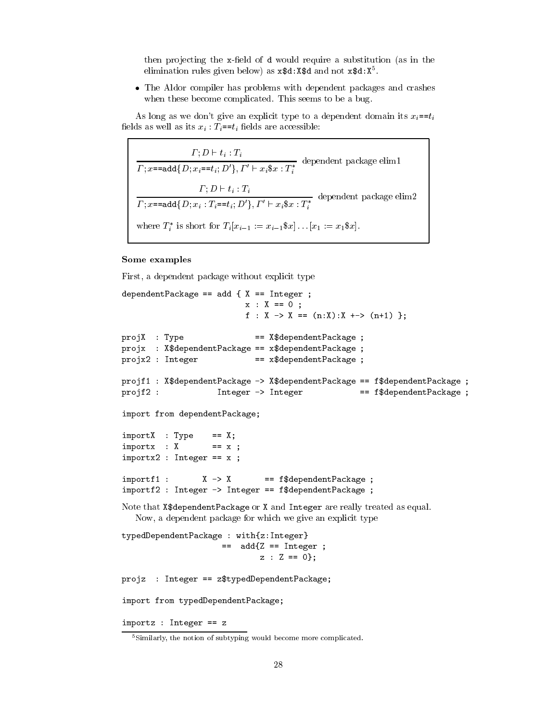then projecting the x-field of d would require a substitution (as in the elimination rules given below) as  $x$ \$d:  $x$ \$d and not  $x$ \$d:  $x^5$ .

• The Aldor compiler has problems with dependent packages and crashes when these become complicated. This seems to be a bug.

As long as we don't give an explicit type to a dependent domain its  $x_i = t_i$ fields as well as its  $x_i$ :  $T_i = t_i$  fields are accessible:

 $\frac{\varGamma;D\vdash t_i:T_i}{\varGamma;x\texttt{=}=\texttt{add}\{D;x_i\texttt{=}=t_i;D'\},\varGamma'\vdash x_i\$x:T^*_i} \text{ dependent package elim1}$  $\frac{\varGamma;D\vdash t_i:T_i}{\varGamma;x=\texttt{add}\{D;x_i:T_i\texttt{==}t_i;D'\},\varGamma'\vdash x_i\$x:T_i^*}\;\;\text{dependent package elim2}$ where  $T_i^*$  is short for  $T_i[x_{i-1}]:=x_{i-1}$   $x_1$ ,  $[x_1:=x_1 \$  x].

# Some examples

First, a dependent package without explicit type

```
dependentPackage == add { X == Integer ;
                         x : X == 0;
                         f : X -> X == (n:X):X +-> (n+1) };
projX : Type
                           == X$dependentPackage ;
projx : X$dependentPackage == x$dependentPackage ;
projx2 : Integer
                           == x$dependentPackage ;
projf1 : X$dependentPackage -> X$dependentPackage == f$dependentPackage ;
projf2:Integer -> Integer
                                        == f$dependentPackage ;
import from dependentPackage;
import X : Type == X;importx : X = x ;importx2 : Integer == x ;== f$dependentPackage ;
import1 :
                X \rightarrow Ximportf2 : Integer -> Integer == f$dependentPackage ;
Note that X$dependentPackage or X and Integer are really treated as equal.
  Now, a dependent package for which we give an explicit type
typedDependentPackage : with{z:Integer}
                    == add\{Z == Integer;
                            z : Z == 0;projz : Integer == z$typedDependentPackage;
import from typedDependentPackage;
```
 $importz$  : Integer ==  $z$ 

<sup>&</sup>lt;sup>5</sup>Similarly, the notion of subtyping would become more complicated.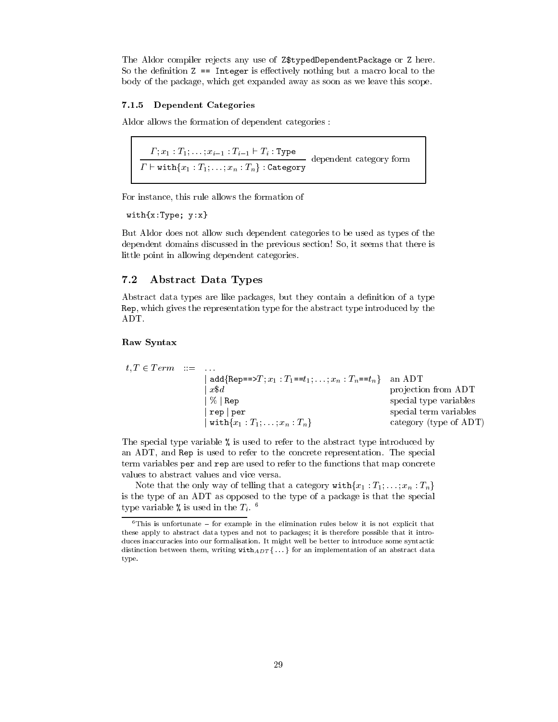The Aldor compiler rejects any use of Z\$typedDependentPackage or Z here. So the definition  $Z = Integer$  is effectively nothing but a macro local to the body of the package, which get expanded away as soon as we leave this scope.

# 7.1.5 Dependent Categories

Aldor allows the formation of dependent categories:

 $\frac{\Gamma; x_1 : T_1; \ldots; x_{i-1} : T_{i-1} \vdash T_i : \text{Type}}{\Gamma \vdash \text{with}\{x_1 : T_1; \ldots; x_n : T_n\} : \text{Category}}$  dependent category form

For instance, this rule allows the formation of

 $with{x:Type; y:x}$ 

But Aldor does not allow such dependent categories to be used as types of the dependent domains discussed in the previous section! So, it seems that there is little point in allowing dependent categories.

### $7.2$ **Abstract Data Types**

Abstract data types are like packages, but they contain a definition of a type Rep, which gives the representation type for the abstract type introduced by the ADT.

# Raw Syntax

$$
t, T \in Term \quad ::= \quad ...
$$
\n
$$
\begin{array}{ccc}\n & \text{add} \{ \text{Rep} == > T; x_1 : T_1 == t_1; \dots; x_n : T_n == t_n \} & \text{an ADT} \\
 & \text{projection from ADT} \\
 & \text{projection from ADT} \\
 & \text{projection from ADT} \\
 & \text{projection from ADT} \\
 & \text{projection from ADT} \\
 & \text{projection from ADT} \\
 & \text{projection from ADT} \\
 & \text{projection from ADT} \\
 & \text{projection from ADT} \\
 & \text{projection from ADT} \\
 & \text{projection from ADT} \\
 & \text{projection from ADT} \\
 & \text{projection from ADT} \\
 & \text{projection from ADT} \\
 & \text{projection from ADT} \\
 & \text{projection from ADT} \\
 & \text{projection from ADT} \\
 & \text{projection from ADT} \\
 & \text{projection from ADT} \\
 & \text{projection from ADT} \\
 & \text{projection from ADT} \\
 & \text{projection from ADT} \\
 & \text{projection from ADT} \\
 & \text{projection from ADT} \\
 & \text{projection from ADT} \\
 & \text{projection from ADT} \\
 & \text{projection from ADT} \\
 & \text{projection from ADT} \\
 & \text{projection from ADT} \\
 & \text{projection from ADT} \\
 & \text{projection from ADT} \\
 & \text{projection from ADT} \\
 & \text{projection from ADT} \\
 & \text{projolution}\\ \end{array}
$$

The special type variable % is used to refer to the abstract type introduced by an ADT, and Rep is used to refer to the concrete representation. The special term variables per and rep are used to refer to the functions that map concrete values to abstract values and vice versa.

Note that the only way of telling that a category with  $\{x_1 : T_1, \ldots, x_n : T_n\}$ is the type of an ADT as opposed to the type of a package is that the special type variable % is used in the  $T_i$ . <sup>6</sup>

 ${}^{6}$ This is unfortunate - for example in the elimination rules below it is not explicit that these apply to abstract data types and not to packages; it is therefore possible that it introduces inaccuracies into our formalisation. It might well be better to introduce some syntactic distinction between them, writing  $\text{with}_{ADT}$ {...} for an implementation of an abstract data type.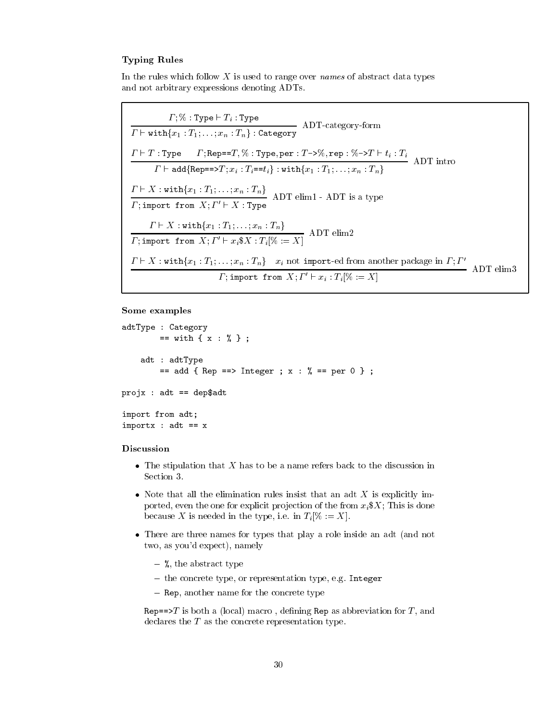# **Typing Rules**

In the rules which follow  $X$  is used to range over *names* of abstract data types and not arbitrary expressions denoting ADTs.

 $\frac{\Gamma; \% : \text{Type} \vdash T_i : \text{Type}}{\Gamma \vdash \text{with}\{x_1 : T_1; \ldots; x_n : T_n\} : \text{Category}}$  ADT-category-form  $\frac{\Gamma \vdash T : \texttt{Type} \qquad \Gamma; \texttt{Rep} == T, \% : \texttt{Type}, \texttt{per} : T \rightarrow \%, \texttt{rep} : \% \rightarrow T \vdash t_i : T_i}{\Gamma \vdash \texttt{add} \{\texttt{Rep} == \gt{} T; x_i : T_i == t_i\} : \texttt{with} \{x_1 : T_1; \ldots; x_n : T_n\}}$  ADT intro  $\frac{\Gamma \vdash X : \texttt{with}\{x_1 : T_1; \ldots; x_n : T_n\}}{\Gamma; \texttt{import from } X; \Gamma' \vdash X : \texttt{Type}}$  ADT elim1 - ADT is a type  $\frac{\Gamma \vdash X : \text{with}\{x_1 : T_1; \ldots; x_n : T_n\}}{\Gamma; \text{import from } X; \Gamma' \vdash x_i \$X : T_i[\% := X]} \text{ ADT elim2}$  $\frac{\Gamma \vdash X : \texttt{with}\{x_1 : T_1; \dots; x_n : T_n\}$   $x_i$  not import-ed from another package in  $\Gamma; \Gamma'$ <br> $\Gamma$ ; import from  $X; \Gamma' \vdash x_i : T_i[\% := X]$  ADT elim3

# Some examples

```
adtType : Category
       == with { x : % } ;
    adt : adtType
        == add { Rep ==> Integer ; x : % == per 0 } ;
projx : adt == dep$adtimport from adt;
importx : adt == x
```
# Discussion

- The stipulation that  $X$  has to be a name refers back to the discussion in Section 3.
- Note that all the elimination rules insist that an adt  $X$  is explicitly imported, even the one for explicit projection of the from  $x_i$ \$X; This is done because X is needed in the type, i.e. in  $T_i[\% := X]$ .
- There are three names for types that play a role inside an adt (and not two, as you'd expect), namely
	- $-$  %, the abstract type
	- the concrete type, or representation type, e.g. Integer
	- $-$  Rep. another name for the concrete type

Rep==>T is both a (local) macro, defining Rep as abbreviation for T, and declares the  $T$  as the concrete representation type.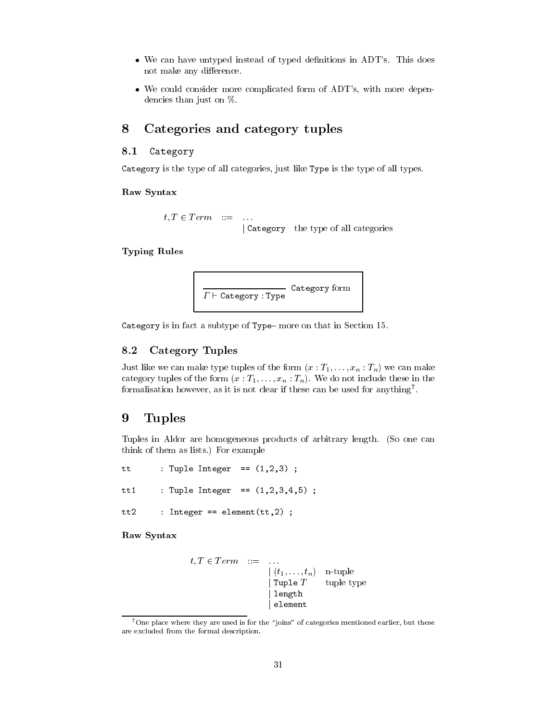- We can have untyped instead of typed definitions in ADT's. This does not make any difference.
- We could consider more complicated form of ADT's, with more dependencies than just on  $%$ .

### Categories and category tuples 8

#### 8.1 Category

Category is the type of all categories, just like Type is the type of all types.

# Raw Syntax

```
t, T \in Term ::= ...
                Category the type of all categories
```
# **Typing Rules**



Category is in fact a subtype of Type-more on that in Section 15.

### **Category Tuples** 8.2

Just like we can make type tuples of the form  $(x: T_1, \ldots, x_n: T_n)$  we can make category tuples of the form  $(x: T_1, \ldots, x_n: T_n)$ . We do not include these in the formalisation however, as it is not clear if these can be used for anything<sup>7</sup>.

### 9 Tuples

Tuples in Aldor are homogeneous products of arbitrary length. (So one can think of them as lists.) For example

: Tuple Integer ==  $(1,2,3)$ ; tt : Tuple Integer ==  $(1, 2, 3, 4, 5)$ ;  $tt1$  $tt2$ : Integer == element( $tt,2)$  ;

Raw Syntax

$$
t, T \in Term \quad ::= \quad \dots \\
 \begin{array}{rcl} | & (t_1, \dots, t_n) & \text{n-tuple} \\ | & \text{Tuple } T & \text{ tuple type} \\ | & \text{length} \\ | & \text{element} \end{array}
$$

<sup>&</sup>lt;sup>7</sup>One place where they are used is for the "joins" of categories mentioned earlier, but these are excluded from the formal description.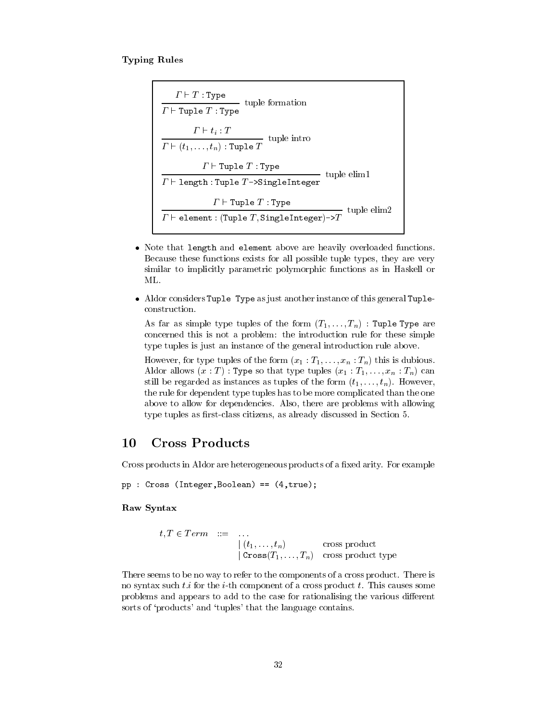# **Typing Rules**

 $\begin{array}{|l|} \hline & \Gamma \vdash T : \texttt{Type} \ \hline \hline \hline \hline \Gamma \vdash \texttt{Tuple } T : \texttt{Type} \ \hline \end{array} \text{tuple formation} \ \begin{array}{|l|} \hline \hline \hline \Gamma \vdash t_i : T \ \hline \hline \Gamma \vdash (t_1, \ldots, t_n) : \texttt{Tuple } T \ \hline \end{array} \text{tuple into} \begin{array}{|l|} \hline \end{array}$  $\cfrac{\Gamma\vdash \texttt{Tuple }T: \texttt{Type}}{\Gamma\vdash \texttt{length}: \texttt{Tuple }T\texttt{-} \texttt{SingleInteger}}\ \texttt{tuple}\ \texttt{elim1}\ \cfrac{\Gamma\vdash \texttt{Tuple }T: \texttt{Type}}{\Gamma\vdash \texttt{element}: (\texttt{Tuple }T, \texttt{SingleInteger})\texttt{-}\texttt{}\texttt{}\texttt{}\texttt{}'}\ \texttt{tuple}\ \texttt{elim2}$ 

- Note that length and element above are heavily overloaded functions. Because these functions exists for all possible tuple types, they are very similar to implicitly parametric polymorphic functions as in Haskell or ML.
- Aldor considers Tuple Type as just another instance of this general Tupleconstruction.

As far as simple type tuples of the form  $(T_1, \ldots, T_n)$ : Tuple Type are concerned this is not a problem: the introduction rule for these simple type tuples is just an instance of the general introduction rule above.

However, for type tuples of the form  $(x_1 : T_1, \ldots, x_n : T_n)$  this is dubious. Aldor allows  $(x : T)$ : Type so that type tuples  $(x_1 : T_1, \ldots, x_n : T_n)$  can still be regarded as instances as tuples of the form  $(t_1, \ldots, t_n)$ . However, the rule for dependent type tuples has to be more complicated than the one above to allow for dependencies. Also, there are problems with allowing type tuples as first-class citizens, as already discussed in Section 5.

### 10 **Cross Products**

Cross products in Aldor are heterogeneous products of a fixed arity. For example

 $pp: Cross (Integer, Boolean) == (4, true);$ 

# Raw Syntax

$$
t, T \in Term \quad ::= \quad \dots
$$
\n
$$
\begin{array}{ccc}\n(t_1, \dots, t_n) & \text{cross product} \\
\text{Cross}(T_1, \dots, T_n) & \text{cross product type}\n\end{array}
$$

There seems to be no way to refer to the components of a cross product. There is no syntax such  $t.i$  for the *i*-th component of a cross product  $t$ . This causes some problems and appears to add to the case for rationalising the various different sorts of 'products' and 'tuples' that the language contains.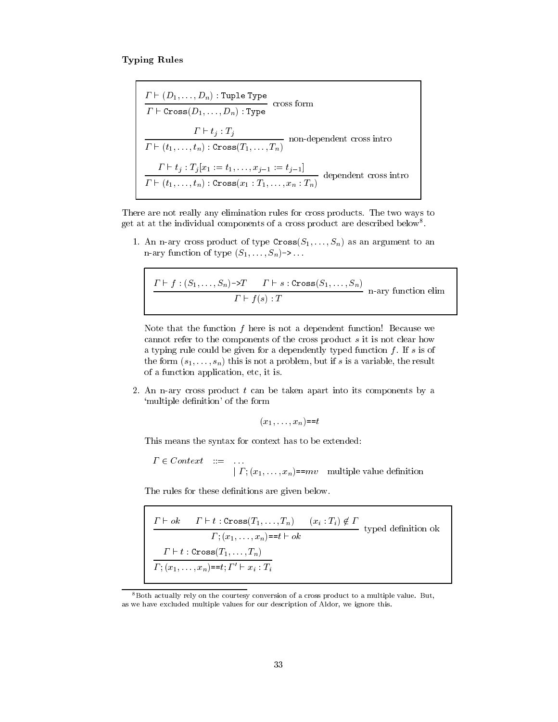# **Typing Rules**

$$
\frac{\Gamma \vdash (D_1, \ldots, D_n) : \text{Tuple Type}}{\Gamma \vdash \text{Cross}(D_1, \ldots, D_n) : \text{Type}} \text{ cross form}
$$
\n
$$
\frac{\Gamma \vdash t_j : T_j}{\Gamma \vdash (t_1, \ldots, t_n) : \text{Cross}(T_1, \ldots, T_n)} \text{ non-dependent cross into}
$$
\n
$$
\frac{\Gamma \vdash t_j : T_j[x_1 := t_1, \ldots, x_{j-1} := t_{j-1}]}{\Gamma \vdash (t_1, \ldots, t_n) : \text{Cross}(x_1 : T_1, \ldots, x_n : T_n)} \text{ dependent cross intro}
$$

There are not really any elimination rules for cross products. The two ways to get at at the individual components of a cross product are described below<sup>8</sup>.

1. An n-ary cross product of type  $\text{Cross}(S_1, \ldots, S_n)$  as an argument to an n-ary function of type  $(S_1, \ldots, S_n)$ ->...

$$
\frac{\Gamma \vdash f : (S_1, \ldots, S_n) \to T \qquad \Gamma \vdash s : \text{Cross}(S_1, \ldots, S_n)}{\Gamma \vdash f(s) : T} \quad \text{n-ary function elim}
$$

Note that the function  $f$  here is not a dependent function! Because we cannot refer to the components of the cross product  $s$  it is not clear how a typing rule could be given for a dependently typed function  $f$ . If  $s$  is of the form  $(s_1, \ldots, s_n)$  this is not a problem, but if s is a variable, the result of a function application, etc, it is.

2. An n-ary cross product  $t$  can be taken apart into its components by a 'multiple definition' of the form

$$
(x_1,\ldots,x_n) = t
$$

This means the syntax for context has to be extended:

 $\varGamma \in Context \quad ::=$  $|\Gamma_{1}(x_{1},...,x_{n})=mv$  multiple value definition

The rules for these definitions are given below.

$$
\frac{\Gamma \vdash ok \quad \Gamma \vdash t : \text{Cross}(T_1, \ldots, T_n) \quad (x_i : T_i) \notin \Gamma}{\Gamma; (x_1, \ldots, x_n) = t \vdash ok} \text{ typed definition ok}
$$
\n
$$
\frac{\Gamma \vdash t : \text{Cross}(T_1, \ldots, T_n)}{\Gamma; (x_1, \ldots, x_n) = t; \Gamma' \vdash x_i : T_i}
$$

 $^8\mathrm{Both}$  actually rely on the courtesy conversion of a cross product to a multiple value. But, as we have excluded multiple values for our description of Aldor, we ignore this.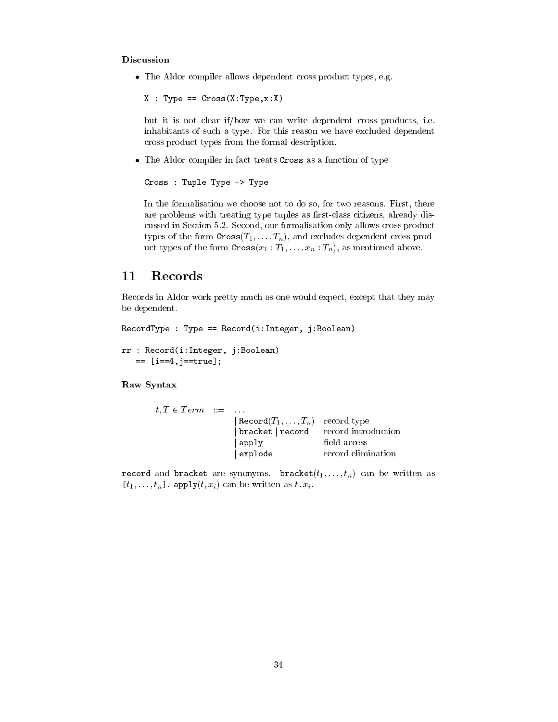# Discussion

• The Aldor compiler allows dependent cross product types, e.g.

```
X : Type == Cross(X:Type, x:X)
```
but it is not clear if/how we can write dependent cross products, i.e. inhabitants of such a type. For this reason we have excluded dependent cross product types from the formal description.

• The Aldor compiler in fact treats Cross as a function of type

```
Cross : Tuple Type -> Type
```
In the formalisation we choose not to do so, for two reasons. First, there are problems with treating type tuples as first-class citizens, already discussed in Section 5.2. Second, our formalisation only allows cross product types of the form  $\text{Cross}(T_1, \ldots, T_n)$ , and excludes dependent cross product types of the form  $\text{Cross}(x_1 : T_1, \ldots, x_n : T_n)$ , as mentioned above.

### Records 11

Records in Aldor work pretty much as one would expect, except that they may be dependent.

```
RecordType: Type == Record(i:Integer, j:Boolean)rr : Record(i:Integer, j:Boolean)
```

```
 == [i==4, j==true];
```
# Raw Syntax

| $t, T \in Term \quad ::= \quad \ldots$ |                                       |                    |
|----------------------------------------|---------------------------------------|--------------------|
|                                        | Record $(T_1,\ldots,T_n)$ record type |                    |
|                                        | bracket   record record introduction  |                    |
|                                        | apply                                 | field access       |
|                                        | explode                               | record elimination |

record and bracket are synonyms. bracket $(t_1, \ldots, t_n)$  can be written as  $[t_1, \ldots, t_n]$ . apply $(t, x_i)$  can be written as  $t \cdot x_i$ .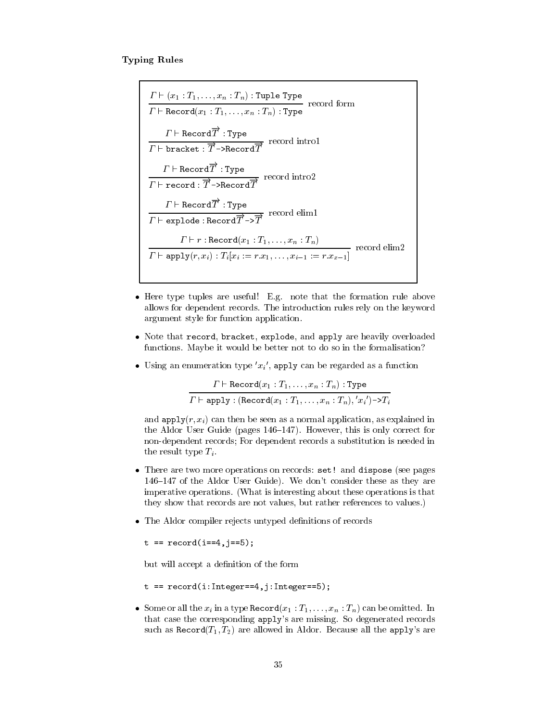# **Typing Rules**

 $\frac{\Gamma \vdash (x_1 : T_1, \ldots, x_n : T_n) : \texttt{Tuple Type}}{\Gamma \vdash \texttt{Record}(x_1 : T_1, \ldots, x_n : T_n) : \texttt{Type}} \text{ record form}$ <br>  $\frac{\Gamma \vdash \texttt{Record} \overrightarrow{T} : \texttt{Type}}{\Gamma \vdash \texttt{bracket} : \overrightarrow{T} \neg \texttt{Record} \overrightarrow{T}} \text{ record into 1}$  $T \vdash$  Record  $\overrightarrow{T}$ : Type<br>  $\overrightarrow{T} \vdash$  record :  $\overrightarrow{T}$  ->Record  $\overrightarrow{T}$  record intro2  $\frac{\varGamma\vdash \mathtt{Record}\overrightarrow{T}:\mathtt{Type}}{\varGamma\vdash \mathtt{explode}:\mathtt{Record}\overrightarrow{T}\verb|->}\overrightarrow{T}\ \mathtt{record}\ \mathtt{elim1}$  $T \vdash r : \texttt{Record}(x_1 : T_1, \ldots, x_n : T_n)$ <br>  $T \vdash \texttt{apply}(r, x_i) : T_i[x_i := r.x_1, \ldots, x_{i-1} := r.x_{x-1}]$  record elim2

- Here type tuples are useful! E.g. note that the formation rule above allows for dependent records. The introduction rules rely on the keyword argument style for function application.
- Note that record, bracket, explode, and apply are heavily overloaded functions. Maybe it would be better not to do so in the formalisation?
- Using an enumeration type  $x_i'$ , apply can be regarded as a function

 $\frac{\Gamma \vdash \texttt{Record}(x_1 : T_1, \ldots, x_n : T_n) : \texttt{Type}}{\Gamma \vdash \texttt{apply}: (\texttt{Record}(x_1 : T_1, \ldots, x_n : T_n), 'x_i') \rightarrow T_i}$ 

and  $\text{apply}(r, x_i)$  can then be seen as a normal application, as explained in the Aldor User Guide (pages 146–147). However, this is only correct for non-dependent records; For dependent records a substitution is needed in the result type  $T_i$ .

- There are two more operations on records: set! and dispose (see pages 146-147 of the Aldor User Guide). We don't consider these as they are imperative operations. (What is interesting about these operations is that they show that records are not values, but rather references to values.)
- The Aldor compiler rejects untyped definitions of records

 $t == record(i==4, i==5);$ 

but will accept a definition of the form

- $t = = record(i:Integer==4, j:Integer==5);$
- Some or all the  $x_i$  in a type Record $(x_1 : T_1, \ldots, x_n : T_n)$  can be omitted. In that case the corresponding apply's are missing. So degenerated records such as  $\text{Record}(T_1, T_2)$  are allowed in Aldor. Because all the apply's are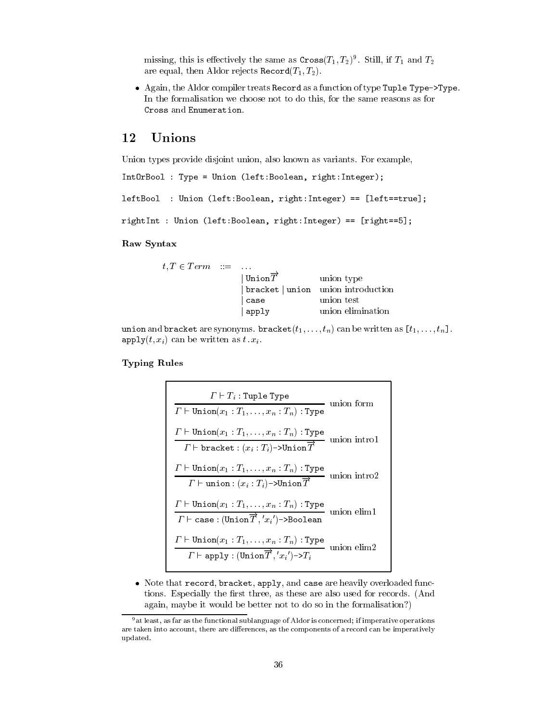missing, this is effectively the same as  $Cross(T_1, T_2)^9$ . Still, if  $T_1$  and  $T_2$ are equal, then Aldor rejects Record $(T_1, T_2)$ .

• Again, the Aldor compiler treats Record as a function of type Tuple Type->Type. In the formalisation we choose not to do this, for the same reasons as for Cross and Enumeration.

### Unions 12

Union types provide disjoint union, also known as variants. For example,

```
IntOrBool : Type = Union (left:Boolean, right:Integer);
```

```
leftBool : Union (left:Boolean, right:Integer) == [left==true];
```

```
rightInt : Union (left:Boolean, right:Integer) == [right==5];
```
# Raw Syntax

| $t, T \in Term \quad ::= \quad \dots$ |                                    |                                    |
|---------------------------------------|------------------------------------|------------------------------------|
|                                       | $\mathsf{Umin} \overrightarrow{T}$ | union type                         |
|                                       |                                    | bracket   union union introduction |
|                                       | case                               | union test                         |
|                                       | apply                              | union elimination                  |

union and bracket are synonyms. bracket $(t_1, \ldots, t_n)$  can be written as  $[t_1, \ldots, t_n]$ .  $\texttt{apply}(t, x_i)$  can be written as  $t \cdot x_i$ .

# **Typing Rules**

• Note that record, bracket, apply, and case are heavily overloaded functions. Especially the first three, as these are also used for records. (And again, maybe it would be better not to do so in the formalisation?)

 $9$  at least, as far as the functional sublanguage of Aldor is concerned; if imperative operations are taken into account, there are differences, as the components of a record can be imperatively updated.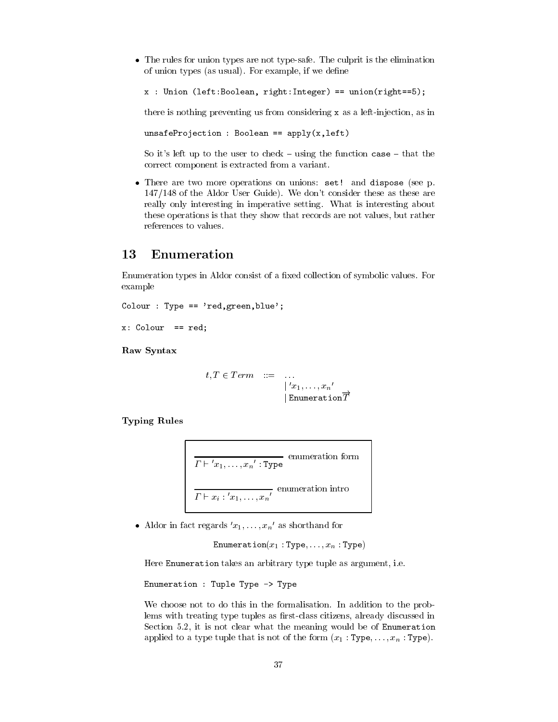• The rules for union types are not type-safe. The culprit is the elimination of union types (as usual). For example, if we define

```
x : Union (left:Boolean, right:Integer) == union(right==5);
```
there is nothing preventing us from considering x as a left-injection, as in

 $unsafeProjection: Boolean == apply(x, left)$ 

So it's left up to the user to check – using the function case – that the correct component is extracted from a variant.

• There are two more operations on unions: set! and dispose (see p. 147/148 of the Aldor User Guide). We don't consider these as these are really only interesting in imperative setting. What is interesting about these operations is that they show that records are not values, but rather references to values.

### 13 Enumeration

Enumeration types in Aldor consist of a fixed collection of symbolic values. For example

```
Colour : Type == 'red, green, blue';
```
 $x:$  Colour == red;

Raw Syntax

$$
t, T \in Term \quad ::= \quad \dots
$$

$$
\begin{array}{ccc} | & 'x_1, \dots, x_n' \\ | & \text{Emumeration} \overrightarrow{T} \end{array}
$$

**Typing Rules** 

$$
\frac{T \vdash 'x_1, \ldots, x_n' : \text{Type}}{T \vdash x_i : 'x_1, \ldots, x_n'}
$$
 enumeration intro

• Aldor in fact regards  $x_1, \ldots, x_n$  as shorthand for

Enumeration( $x_1$ : Type,..., $x_n$ : Type)

Here Enumeration takes an arbitrary type tuple as argument, i.e.

Enumeration : Tuple Type -> Type

We choose not to do this in the formalisation. In addition to the problems with treating type tuples as first-class citizens, already discussed in Section 5.2, it is not clear what the meaning would be of Enumeration applied to a type tuple that is not of the form  $(x_1 : Type, \ldots, x_n : Type)$ .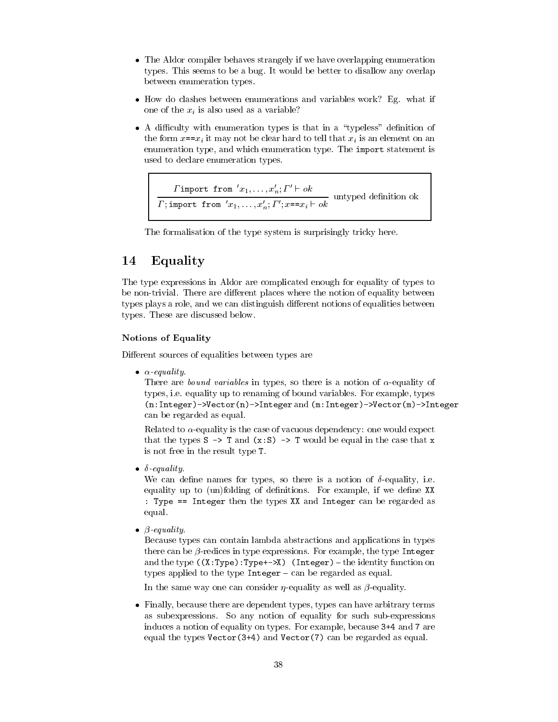- The Aldor compiler behaves strangely if we have overlapping enumeration types. This seems to be a bug. It would be better to disallow any overlap between enumeration types.
- How do clashes between enumerations and variables work? Eg. what if one of the  $x_i$  is also used as a variable?
- A difficulty with enumeration types is that in a "typeless" definition of the form  $x=x_i$  it may not be clear hard to tell that  $x_i$  is an element on an enumeration type, and which enumeration type. The import statement is used to declare enumeration types.

Fimport from  $x_1, \ldots, x_n; \Gamma' \vdash ok$ <br>T; import from  $x_1, \ldots, x_n'; \Gamma'; x == x_i \vdash ok$  untyped definition ok

The formalisation of the type system is surprisingly tricky here.

### Equality 14

The type expressions in Aldor are complicated enough for equality of types to be non-trivial. There are different places where the notion of equality between types plays a role, and we can distinguish different notions of equalities between types. These are discussed below.

# **Notions of Equality**

Different sources of equalities between types are

 $\bullet$   $\alpha$ -equality.

There are *bound variables* in types, so there is a notion of  $\alpha$ -equality of types, i.e. equality up to renaming of bound variables. For example, types  $(n:Integer)$ ->Vector $(n)$ ->Integer and  $(m:Integer)$ ->Vector $(m)$ ->Integer can be regarded as equal.

Related to  $\alpha$ -equality is the case of vacuous dependency: one would expect that the types  $S \rightarrow T$  and  $(x : S) \rightarrow T$  would be equal in the case that x is not free in the result type T.

 $\bullet$   $\delta$ -equality.

We can define names for types, so there is a notion of  $\delta$ -equality, i.e. equality up to (un)folding of definitions. For example, if we define XX : Type == Integer then the types XX and Integer can be regarded as equal.

 $\bullet$   $\beta$ -equality.

Because types can contain lambda abstractions and applications in types there can be  $\beta$ -redices in type expressions. For example, the type Integer and the type  $((X:Type):Type+-\ge X)$  (Integer) - the identity function on types applied to the type  $Integer - can$  be regarded as equal.

In the same way one can consider  $\eta$ -equality as well as  $\beta$ -equality.

• Finally, because there are dependent types, types can have arbitrary terms as subexpressions. So any notion of equality for such sub-expressions induces a notion of equality on types. For example, because 3+4 and 7 are equal the types  $Vector(3+4)$  and  $Vector(7)$  can be regarded as equal.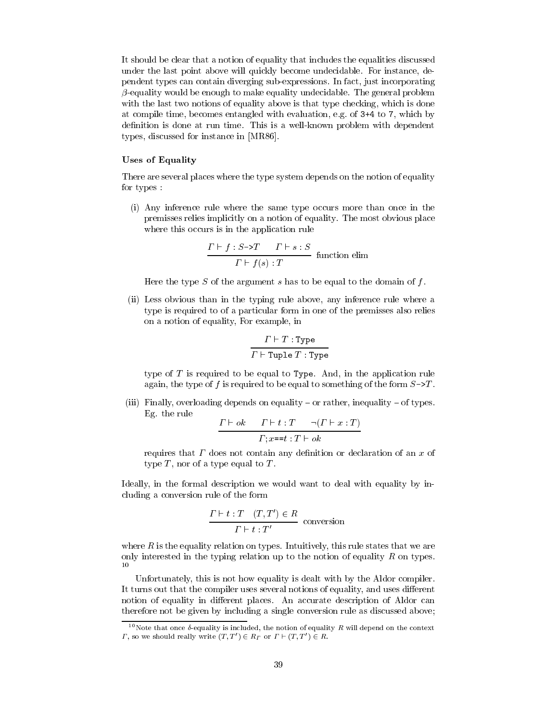It should be clear that a notion of equality that includes the equalities discussed under the last point above will quickly become undecidable. For instance, dependent types can contain diverging sub-expressions. In fact, just incorporating  $\beta$ -equality would be enough to make equality undecidable. The general problem with the last two notions of equality above is that type checking, which is done at compile time, becomes entangled with evaluation, e.g. of 3+4 to 7, which by definition is done at run time. This is a well-known problem with dependent types, discussed for instance in [MR86].

# **Uses of Equality**

There are several places where the type system depends on the notion of equality for types :

(i) Any inference rule where the same type occurs more than once in the premisses relies implicitly on a notion of equality. The most obvious place where this occurs is in the application rule

$$
\frac{\Gamma \vdash f : S \rightarrow T \qquad \Gamma \vdash s : S}{\Gamma \vdash f(s) : T}
$$
 function elim

Here the type  $S$  of the argument  $s$  has to be equal to the domain of  $f$ .

(ii) Less obvious than in the typing rule above, any inference rule where a type is required to of a particular form in one of the premisses also relies on a notion of equality, For example, in

$$
\frac{\varGamma \vdash T : \texttt{Type}}{\varGamma \vdash \texttt{Tuple } T : \texttt{Type}}
$$

type of  $T$  is required to be equal to Type. And, in the application rule again, the type of f is required to be equal to something of the form  $S \rightarrow T$ .

(iii) Finally, overloading depends on equality – or rather, inequality – of types. Eg. the rule

$$
\frac{\Gamma \vdash ok \quad \Gamma \vdash t : T \quad \neg(\Gamma \vdash x : T)}{\Gamma; x = t : T \vdash ok}
$$

requires that  $\Gamma$  does not contain any definition or declaration of an  $x$  of type  $T$ , nor of a type equal to  $T$ .

Ideally, in the formal description we would want to deal with equality by including a conversion rule of the form

$$
\frac{\Gamma \vdash t : T \quad (T, T') \in R}{\Gamma \vdash t : T'}
$$
 conversion

where  $R$  is the equality relation on types. Intuitively, this rule states that we are only interested in the typing relation up to the notion of equality  $R$  on types.  $10\,$ 

Unfortunately, this is not how equality is dealt with by the Aldor compiler. It turns out that the compiler uses several notions of equality, and uses different notion of equality in different places. An accurate description of Aldor can therefore not be given by including a single conversion rule as discussed above;

 $^{10}{\rm Note}$  that once  $\delta$ -equality is included, the notion of equality  $R$  will depend on the context  $\Gamma$ , so we should really write  $(T, T') \in R_{\Gamma}$  or  $\Gamma \vdash (T, T') \in R$ .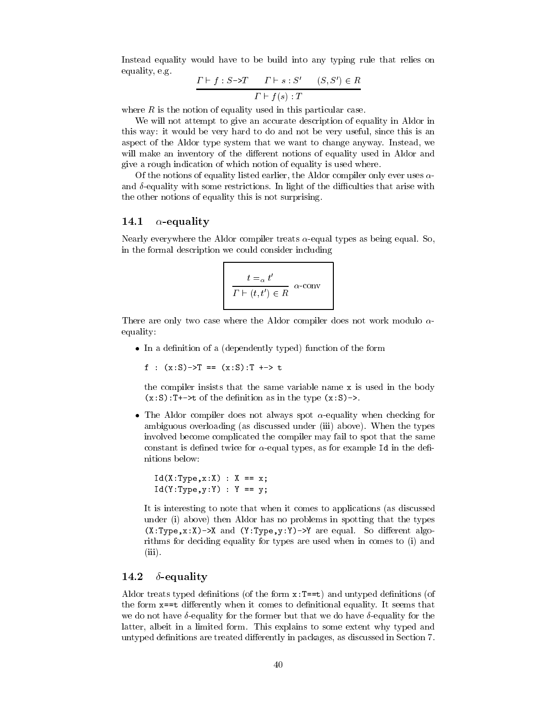Instead equality would have to be build into any typing rule that relies on equality, e.g.

$$
\frac{\Gamma \vdash f : S \to T \qquad \Gamma \vdash s : S' \qquad (S, S') \in R}{\Gamma \vdash f(s) : T}
$$

where  $R$  is the notion of equality used in this particular case.

We will not attempt to give an accurate description of equality in Aldor in this way: it would be very hard to do and not be very useful, since this is an aspect of the Aldor type system that we want to change anyway. Instead, we will make an inventory of the different notions of equality used in Aldor and give a rough indication of which notion of equality is used where.

Of the notions of equality listed earlier, the Aldor compiler only ever uses  $\alpha$ and  $\delta$ -equality with some restrictions. In light of the difficulties that arise with the other notions of equality this is not surprising.

### 14.1  $\alpha$ -equality

Nearly everywhere the Aldor compiler treats  $\alpha$ -equal types as being equal. So, in the formal description we could consider including

$$
\frac{t = \alpha \ t'}{\Gamma \vdash (t, t') \in R} \quad \alpha\text{-conv}
$$

There are only two case where the Aldor compiler does not work modulo  $\alpha$ equality:

• In a definition of a (dependently typed) function of the form

f :  $(x:S)$ ->T ==  $(x:S)$ :T +-> t

the compiler insists that the same variable name x is used in the body  $(x: S)$ : T+->t of the definition as in the type  $(x: S)$ ->.

• The Aldor compiler does not always spot  $\alpha$ -equality when checking for ambiguous overloading (as discussed under (iii) above). When the types involved become complicated the compiler may fail to spot that the same constant is defined twice for  $\alpha$ -equal types, as for example Id in the definitions below:

```
Id(X:Type, x:X) : X == x;Id(Y:Type, y:Y) : Y == y;
```
It is interesting to note that when it comes to applications (as discussed under (i) above) then Aldor has no problems in spotting that the types  $(X:Type, x:X)$  ->X and  $(Y:Type, y:Y)$  ->Y are equal. So different algorithms for deciding equality for types are used when in comes to (i) and  $(iii)$ .

### 14.2  $\delta$ -equality

Aldor treats typed definitions (of the form  $x:T==t$ ) and untyped definitions (of the form x==t differently when it comes to definitional equality. It seems that we do not have  $\delta$ -equality for the former but that we do have  $\delta$ -equality for the latter, albeit in a limited form. This explains to some extent why typed and untyped definitions are treated differently in packages, as discussed in Section 7.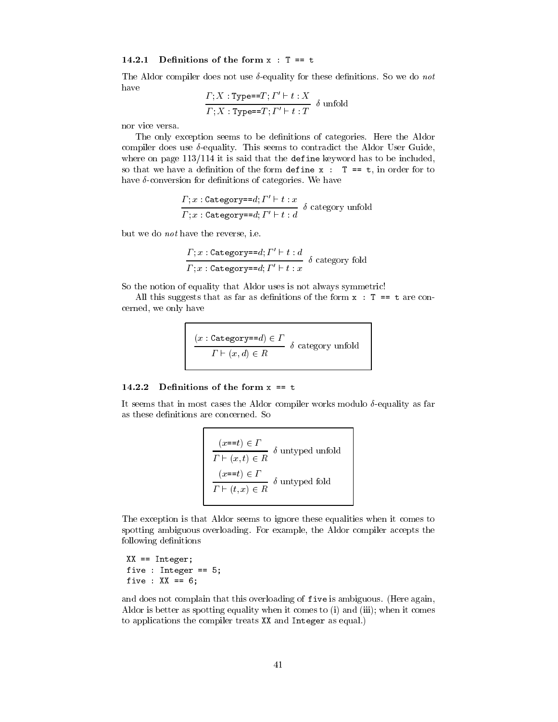# 14.2.1 Definitions of the form  $x : T == t$

The Aldor compiler does not use  $\delta$ -equality for these definitions. So we do not have  $\mathbf{r}$   $\mathbf{r}$  $\mathbf{r}$  $\overline{a}$ 

$$
\frac{\Gamma; X : \text{Type} == T; I'' \vdash t : X}{\Gamma; X : \text{Type} == T; I' \vdash t : T} \delta \text{unfold}
$$

nor vice versa.

The only exception seems to be definitions of categories. Here the Aldor compiler does use  $\delta$ -equality. This seems to contradict the Aldor User Guide, where on page  $113/114$  it is said that the define keyword has to be included, so that we have a definition of the form define  $x : T == t$ , in order for to have  $\delta$ -conversion for definitions of categories. We have

$$
\frac{\Gamma; x : \texttt{Category=}=d; \Gamma' \vdash t : x}{\Gamma; x : \texttt{Category=}=d; \Gamma' \vdash t : d} \delta \text{ category unfold}
$$

but we do *not* have the reverse, i.e.

$$
\frac{\Gamma; x : \texttt{Category==}d; \Gamma' \vdash t : d}{\Gamma; x : \texttt{Category=}=d; \Gamma' \vdash t : x} \delta \text{ category fold}
$$

So the notion of equality that Aldor uses is not always symmetric!

All this suggests that as far as definitions of the form  $x : T == t$  are concerned, we only have

$$
\frac{(x: \texttt{Category=}d) \in \varGamma}{\varGamma \vdash (x, d) \in R} \delta \text{ category unfold}
$$

### 14.2.2 Definitions of the form  $x == t$

It seems that in most cases the Aldor compiler works modulo  $\delta$ -equality as far as these definitions are concerned. So

$$
(x == t) \in \Gamma
$$
  
\n
$$
\Gamma \vdash (x, t) \in R
$$
  $\delta$ untyped unfold  
\n
$$
(x == t) \in \Gamma
$$
  
\n
$$
\Gamma \vdash (t, x) \in R
$$
  $\delta$ untyped fold

The exception is that Aldor seems to ignore these equalities when it comes to spotting ambiguous overloading. For example, the Aldor compiler accepts the following definitions

 $XX == Integer;$ five : Integer ==  $5$ ; five :  $XX == 6$ ;

and does not complain that this overloading of five is ambiguous. (Here again, Aldor is better as spotting equality when it comes to (i) and (iii); when it comes to applications the compiler treats XX and Integer as equal.)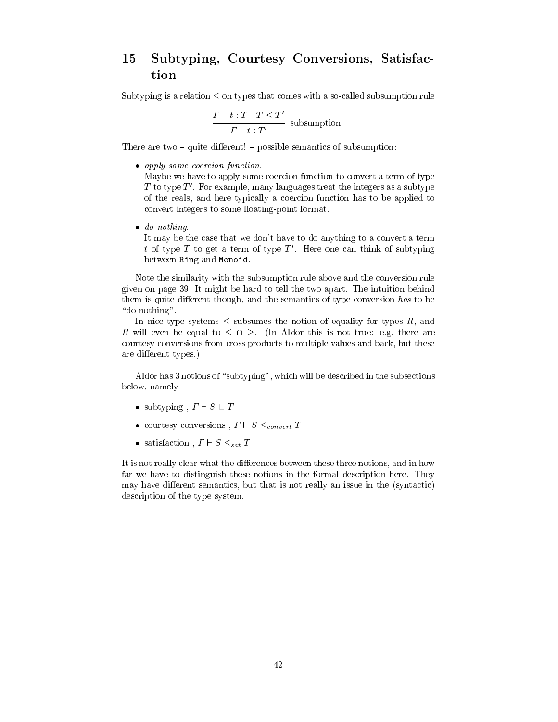# Subtyping, Courtesy Conversions, Satisfac-15 tion

Subtyping is a relation  $\leq$  on types that comes with a so-called subsumption rule

$$
\frac{\Gamma\vdash t:T\quad T\leq T'}{\Gamma\vdash t:T'}
$$
 subsumption

There are two  $-$  quite different!  $-$  possible semantics of subsumption:

• apply some coercion function.

Maybe we have to apply some coercion function to convert a term of type T to type  $T'$ . For example, many languages treat the integers as a subtype of the reals, and here typically a coercion function has to be applied to convert integers to some floating-point format.

 $\bullet$  do nothing.

It may be the case that we don't have to do anything to a convert a term  $t$  of type  $T$  to get a term of type  $T'$ . Here one can think of subtyping between Ring and Monoid.

Note the similarity with the subsumption rule above and the conversion rule given on page 39. It might be hard to tell the two apart. The intuition behind them is quite different though, and the semantics of type conversion has to be "do nothing".

In nice type systems  $\leq$  subsumes the notion of equality for types R, and R will even be equal to  $\leq \cap \geq$ . (In Aldor this is not true: e.g. there are courtesy conversions from cross products to multiple values and back, but these are different types.)

Aldor has 3 notions of "subtyping", which will be described in the subsections below, namely

- subtyping,  $\Gamma \vdash S \sqsubset T$
- courtesy conversions,  $\Gamma \vdash S \leq_{convert} T$
- satisfaction,  $\Gamma \vdash S \leq_{sat} T$

It is not really clear what the differences between these three notions, and in how far we have to distinguish these notions in the formal description here. They may have different semantics, but that is not really an issue in the (syntactic) description of the type system.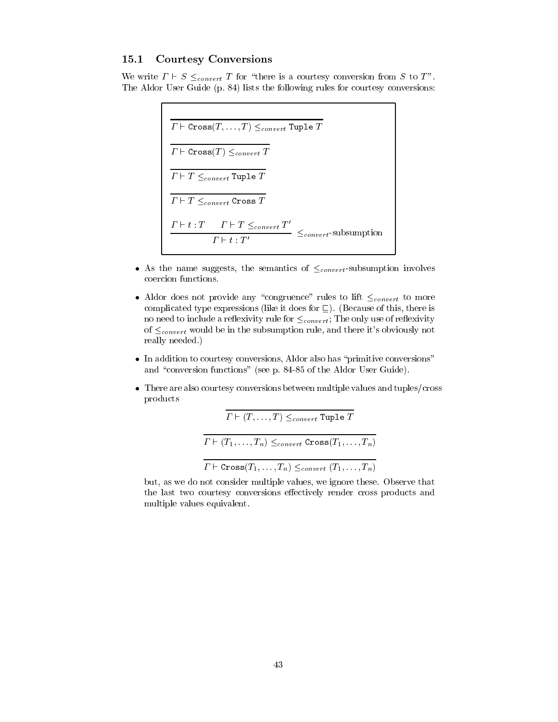### **Courtesy Conversions** 15.1

We write  $\Gamma \vdash S \leq_{convert} T$  for "there is a courtesy conversion from S to T". The Aldor User Guide (p. 84) lists the following rules for courtesy conversions:

> $\overline{ \varGamma \vdash \texttt{Cross}(T, \dots, T) \leq_{convert} \texttt{Tuple } T }$  $T \vdash \texttt{Cross}(T) \leq_{convert} T$  $\cfrac{T+T \leq_{convert} T}{T+T \leq_{convert} \text{Tuple } T}$  $\frac{\Gamma\vdash t:T\quad \Gamma\vdash T\leq_{convert}T'}{\Gamma\vdash t\cdot T'}\leq_{convert}\text{-subsumption}$

- As the name suggests, the semantics of  $\leq_{convert}$ -subsumption involves coercion functions.
- Aldor does not provide any "congruence" rules to lift  $\leq_{convert}$  to more complicated type expressions (like it does for  $\sqsubseteq$ ). (Because of this, there is no need to include a reflexivity rule for  $\leq_{convert}$ ; The only use of reflexivity of  $\leq_{convert}$  would be in the subsumption rule, and there it's obviously not really needed.)
- In addition to courtesy conversions, Aldor also has "primitive conversions" and "conversion functions" (see p. 84-85 of the Aldor User Guide).
- $\bullet$  There are also courtesy conversions between multiple values and tuples/cross products

 $T \vdash (T, \ldots, T) \leq_{convert} \text{Tuple } T$  $T \vdash (T_1, \ldots, T_n) \leq_{convert} \text{Cross}(T_1, \ldots, T_n)$  $T \vdash \text{Cross}(T_1, \ldots, T_n) \leq_{convert}(T_1, \ldots, T_n)$ 

but, as we do not consider multiple values, we ignore these. Observe that the last two courtesy conversions effectively render cross products and multiple values equivalent.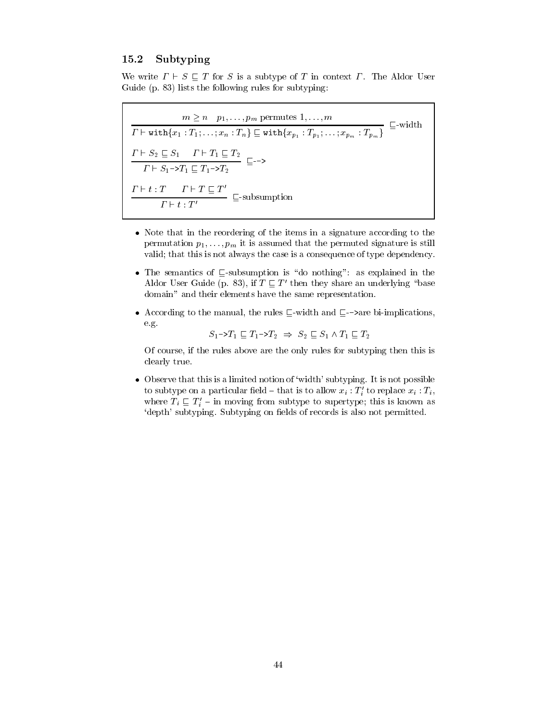### 15.2 Subtyping

We write  $\Gamma \vdash S \sqsubset T$  for S is a subtype of T in context  $\Gamma$ . The Aldor User Guide (p. 83) lists the following rules for subtyping:

 $\begin{array}{l} m \geq n \quad p_1, \ldots, p_m \text{ permutes } 1, \ldots, m \\ \hline \Gamma \vdash \text{with} \{x_1 : T_1; \ldots; x_n : T_n\} \sqsubseteq \text{with} \{x_{p_1} : T_{p_1}; \ldots; x_{p_m} : T_{p_m}\} \sqsubseteq \text{-width} \\ \frac{\Gamma \vdash S_2 \sqsubseteq S_1 \quad \Gamma \vdash T_1 \sqsubseteq T_2}{\Gamma \vdash S_1 - \triangleright T_1 \sqsubseteq T_1 - \triangleright T_2} \sqsubseteq \text{-> \\ \frac{\Gamma \vdash t : T \quad \Gamma \vdash T \sqsubseteq T'}{\Gamma$ 

- Note that in the reordering of the items in a signature according to the permutation  $p_1, \ldots, p_m$  it is assumed that the permuted signature is still valid; that this is not always the case is a consequence of type dependency.
- The semantics of  $\sqsubseteq$ -subsumption is "do nothing": as explained in the Aldor User Guide (p. 83), if  $T \sqsubseteq T'$  then they share an underlying "base domain" and their elements have the same representation.
- According to the manual, the rules  $\Box$ -width and  $\Box$ ->are bi-implications. e.g.

 $S_1 \rightarrow T_1 \sqsubset T_1 \rightarrow T_2 \Rightarrow S_2 \sqsubset S_1 \wedge T_1 \sqsubset T_2$ 

Of course, if the rules above are the only rules for subtyping then this is clearly true.

• Observe that this is a limited notion of 'width' subtyping. It is not possible to subtype on a particular field – that is to allow  $x_i : T'_i$  to replace  $x_i : T_i$ , where  $T_i \nightharpoonup T'_i$  - in moving from subtype to supertype; this is known as 'depth' subtyping. Subtyping on fields of records is also not permitted.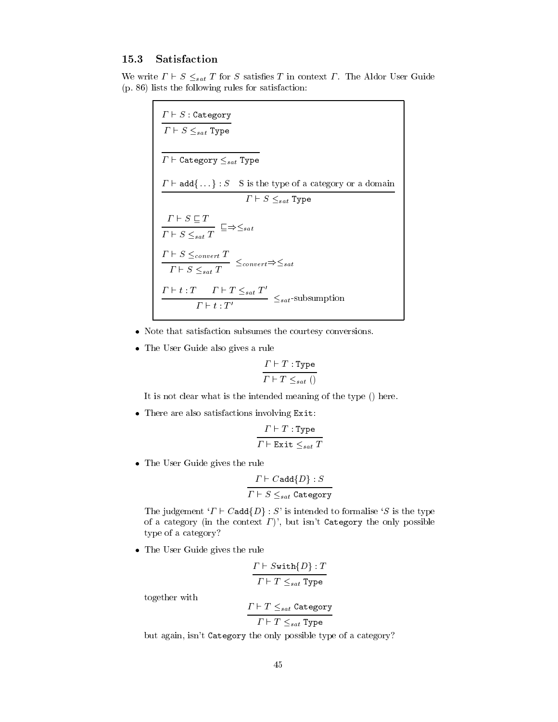### 15.3 Satisfaction

We write  $\Gamma \vdash S \leq_{sat} T$  for S satisfies T in context  $\Gamma$ . The Aldor User Guide (p. 86) lists the following rules for satisfaction:

| $\Gamma \vdash S$ : Category<br>$\Gamma \vdash S \leq_{sat}$ Type                                                |
|------------------------------------------------------------------------------------------------------------------|
| $\Gamma\vdash$ Category $\leq_{sat}$ Type                                                                        |
| $\Gamma \vdash \mathtt{add} \{\dots\} : S$ S is the type of a category or a domain                               |
| $\Gamma \vdash S \leq_{sat}$ Type                                                                                |
| $\frac{\Gamma\vdash S\sqsubseteq T}{\Gamma\vdash S\leq_{sat}T}\sqsubseteq\Rightarrow\leq_{sat}$                  |
| $\frac{\Gamma \vdash S \leq_{convert} T}{\Gamma \vdash S \leq_{sat} T} \leq_{convert} \Rightarrow \leq_{sat}$    |
| $\Gamma \vdash t : T \quad \Gamma \vdash T \leq_{sat} T'$<br>$\leq_{sat}$ -subsumption<br>$\Gamma \vdash t : T'$ |

- Note that satisfaction subsumes the courtesy conversions.
- The User Guide also gives a rule

$$
\frac{\Gamma \vdash T : \text{Type}}{\Gamma \vdash T \leq_{sat} ()}
$$

It is not clear what is the intended meaning of the type () here.

• There are also satisfactions involving Exit:

$$
\frac{\Gamma \vdash T : \texttt{Type}}{\Gamma \vdash \texttt{Exit} \leq_{sat} T}
$$

• The User Guide gives the rule

$$
\frac{\Gamma\vdash C \texttt{add}\{D\} : S}{\Gamma\vdash S\leq_{sat} \texttt{Category}}
$$

The judgement ' $\Gamma \vdash C$  add $\{D\}$ : S' is intended to formalise 'S is the type of a category (in the context  $\Gamma$ )', but isn't Category the only possible type of a category?

• The User Guide gives the rule

$$
\frac{\varGamma\vdash \texttt{Switch}\{D\} : T}{\varGamma\vdash T\leq_{sat} \texttt{Type}}
$$

together with

$$
\frac{\Gamma \vdash T \leq_{sat} \texttt{Category}}{\Gamma \vdash T \leq_{sat} \texttt{Type}}
$$

but again, isn't Category the only possible type of a category?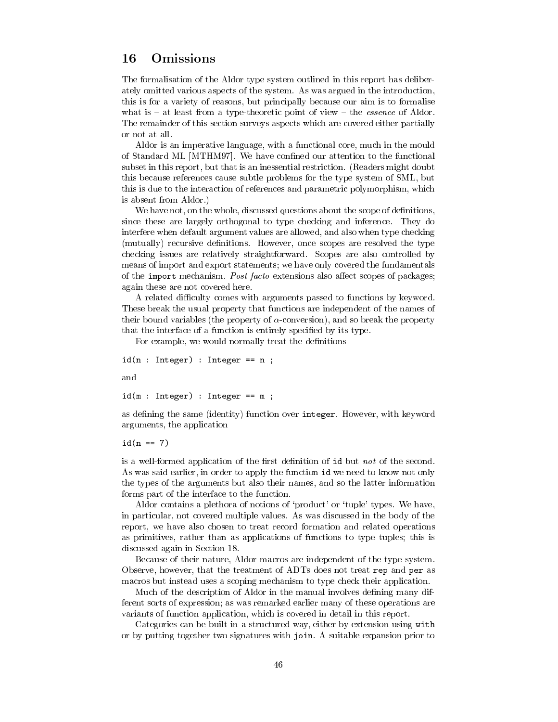### Omissions 16

The formalisation of the Aldor type system outlined in this report has deliberately omitted various aspects of the system. As was argued in the introduction, this is for a variety of reasons, but principally because our aim is to formalise what is  $-$  at least from a type-theoretic point of view  $-$  the *essence* of Aldor. The remainder of this section surveys aspects which are covered either partially or not at all.

Aldor is an imperative language, with a functional core, much in the mould of Standard ML [MTHM97]. We have confined our attention to the functional subset in this report, but that is an inessential restriction. (Readers might doubt this because references cause subtle problems for the type system of SML, but this is due to the interaction of references and parametric polymorphism, which is absent from Aldor.)

We have not, on the whole, discussed questions about the scope of definitions, since these are largely orthogonal to type checking and inference. They do interfere when default argument values are allowed, and also when type checking (mutually) recursive definitions. However, once scopes are resolved the type checking issues are relatively straightforward. Scopes are also controlled by means of import and export statements; we have only covered the fundamentals of the import mechanism. Post facto extensions also affect scopes of packages; again these are not covered here.

A related difficulty comes with arguments passed to functions by keyword. These break the usual property that functions are independent of the names of their bound variables (the property of  $\alpha$ -conversion), and so break the property that the interface of a function is entirely specified by its type.

For example, we would normally treat the definitions

 $id(n : Integer) : Integer == n ;$ and

 $id(m : Integer) : Integer == m ;$ 

as defining the same (identity) function over integer. However, with keyword arguments, the application

 $id(n == 7)$ 

is a well-formed application of the first definition of id but not of the second. As was said earlier, in order to apply the function id we need to know not only the types of the arguments but also their names, and so the latter information forms part of the interface to the function.

Aldor contains a plethora of notions of 'product' or 'tuple' types. We have, in particular, not covered multiple values. As was discussed in the body of the report, we have also chosen to treat record formation and related operations as primitives, rather than as applications of functions to type tuples; this is discussed again in Section 18.

Because of their nature, Aldor macros are independent of the type system. Observe, however, that the treatment of ADTs does not treat rep and per as macros but instead uses a scoping mechanism to type check their application.

Much of the description of Aldor in the manual involves defining many different sorts of expression; as was remarked earlier many of these operations are variants of function application, which is covered in detail in this report.

Categories can be built in a structured way, either by extension using with or by putting together two signatures with join. A suitable expansion prior to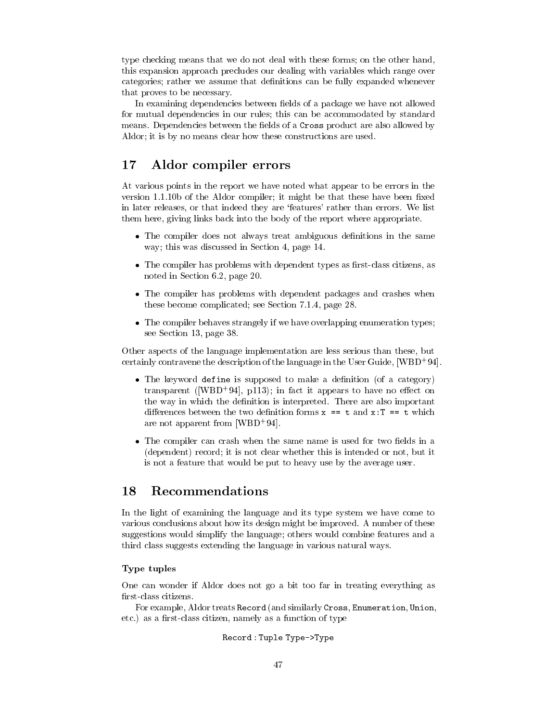type checking means that we do not deal with these forms; on the other hand, this expansion approach precludes our dealing with variables which range over categories; rather we assume that definitions can be fully expanded whenever that proves to be necessary.

In examining dependencies between fields of a package we have not allowed for mutual dependencies in our rules; this can be accommodated by standard means. Dependencies between the fields of a Cross product are also allowed by Aldor; it is by no means clear how these constructions are used.

### 17 Aldor compiler errors

At various points in the report we have noted what appear to be errors in the version 1.1.10b of the Aldor compiler; it might be that these have been fixed in later releases, or that indeed they are 'features' rather than errors. We list them here, giving links back into the body of the report where appropriate.

- The compiler does not always treat ambiguous definitions in the same way; this was discussed in Section 4, page 14.
- The compiler has problems with dependent types as first-class citizens, as noted in Section 6.2, page 20.
- The compiler has problems with dependent packages and crashes when these become complicated; see Section 7.1.4, page 28.
- The compiler behaves strangely if we have overlapping enumeration types; see Section 13, page 38.

Other aspects of the language implementation are less serious than these, but certainly contravene the description of the language in the User Guide,  $[WBD^+94]$ .

- The keyword define is supposed to make a definition (of a category) transparent ([WBD<sup>+</sup>94], p113); in fact it appears to have no effect on the way in which the definition is interpreted. There are also important differences between the two definition forms  $x == t$  and  $x:T == t$  which are not apparent from [WBD+94].
- The compiler can crash when the same name is used for two fields in a (dependent) record; it is not clear whether this is intended or not, but it is not a feature that would be put to heavy use by the average user.

### 18 Recommendations

In the light of examining the language and its type system we have come to various conclusions about how its design might be improved. A number of these suggestions would simplify the language; others would combine features and a third class suggests extending the language in various natural ways.

# Type tuples

One can wonder if Aldor does not go a bit too far in treating everything as first-class citizens.

For example, Aldor treats Record (and similarly Cross, Enumeration, Union, etc.) as a first-class citizen, namely as a function of type

# Record: Tuple Type->Type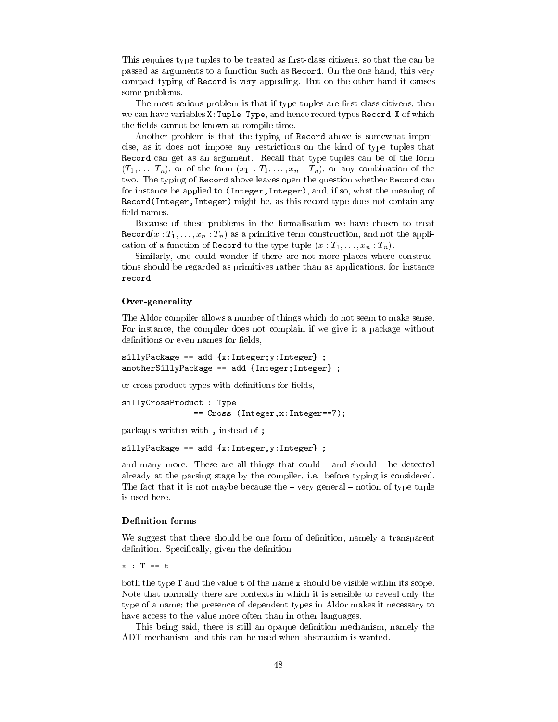This requires type tuples to be treated as first-class citizens, so that the can be passed as arguments to a function such as Record. On the one hand, this very compact typing of Record is very appealing. But on the other hand it causes some problems.

The most serious problem is that if type tuples are first-class citizens, then we can have variables X: Tuple Type, and hence record types Record X of which the fields cannot be known at compile time.

Another problem is that the typing of Record above is somewhat imprecise, as it does not impose any restrictions on the kind of type tuples that Record can get as an argument. Recall that type tuples can be of the form  $(T_1,\ldots,T_n)$ , or of the form  $(x_1 : T_1,\ldots,x_n : T_n)$ , or any combination of the two. The typing of Record above leaves open the question whether Record can for instance be applied to (Integer, Integer), and, if so, what the meaning of Record (Integer, Integer) might be, as this record type does not contain any field names.

Because of these problems in the formalisation we have chosen to treat  $\texttt{Record}(x: T_1, \ldots, x_n: T_n)$  as a primitive term construction, and not the application of a function of Record to the type tuple  $(x : T_1, \ldots, x_n : T_n)$ .

Similarly, one could wonder if there are not more places where constructions should be regarded as primitives rather than as applications, for instance record.

# Over-generality

The Aldor compiler allows a number of things which do not seem to make sense. For instance, the compiler does not complain if we give it a package without definitions or even names for fields,

```
sillyPackage == add {x:Integer; y:Integer};anotherSillyPackage == add {Interger; Integer};
```
or cross product types with definitions for fields,

```
sillyCrossProduct : Type
               == Cross (Integer, x: Integer==7);
```
packages written with, instead of;

 $sillyPackage == add {x:Integer, y:Integer};$ 

and many more. These are all things that could - and should - be detected already at the parsing stage by the compiler, i.e. before typing is considered. The fact that it is not maybe because the  $-$  very general  $-$  notion of type tuple is used here.

# **Definition forms**

We suggest that there should be one form of definition, namely a transparent definition. Specifically, given the definition

 $x : T == t$ 

both the type T and the value t of the name x should be visible within its scope. Note that normally there are contexts in which it is sensible to reveal only the type of a name; the presence of dependent types in Aldor makes it necessary to have access to the value more often than in other languages.

This being said, there is still an opaque definition mechanism, namely the ADT mechanism, and this can be used when abstraction is wanted.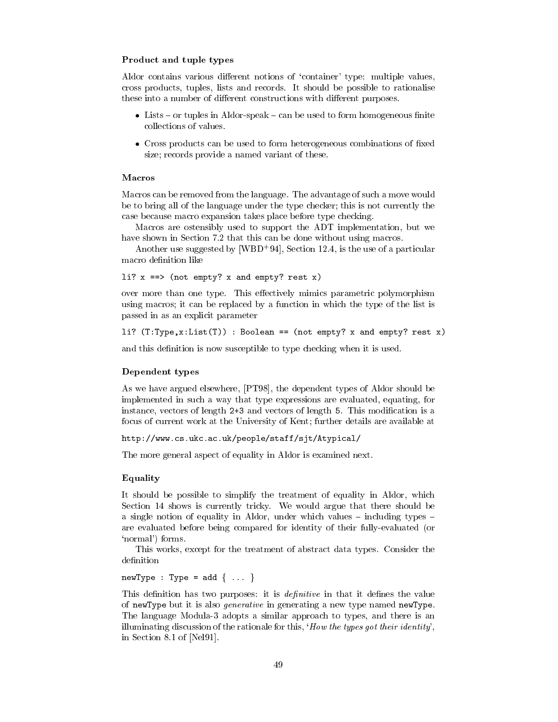# Product and tuple types

Aldor contains various different notions of 'container' type: multiple values, cross products, tuples, lists and records. It should be possible to rationalise these into a number of different constructions with different purposes.

- Lists or tuples in Aldor-speak can be used to form homogeneous finite collections of values.
- Cross products can be used to form heterogeneous combinations of fixed size; records provide a named variant of these.

# Macros

Macros can be removed from the language. The advantage of such a move would be to bring all of the language under the type checker; this is not currently the case because macro expansion takes place before type checking.

Macros are ostensibly used to support the ADT implementation, but we have shown in Section 7.2 that this can be done without using macros.

Another use suggested by [WBD<sup>+</sup>94], Section 12.4, is the use of a particular macro definition like

```
li? x == (not empty? x and empty? rest x)
```
over more than one type. This effectively mimics parametric polymorphism using macros; it can be replaced by a function in which the type of the list is passed in as an explicit parameter

```
li? (T:Type, x:List(T)) : Boolean == (not empty? x and empty? rest x)
```
and this definition is now susceptible to type checking when it is used.

# Dependent types

As we have argued elsewhere, [PT98], the dependent types of Aldor should be implemented in such a way that type expressions are evaluated, equating, for instance, vectors of length 2+3 and vectors of length 5. This modification is a focus of current work at the University of Kent; further details are available at

```
http://www.cs.ukc.ac.uk/people/staff/sjt/Atypical/
```
The more general aspect of equality in Aldor is examined next.

# Equality

It should be possible to simplify the treatment of equality in Aldor, which Section 14 shows is currently tricky. We would argue that there should be a single notion of equality in Aldor, under which values  $-$  including types  $$ are evaluated before being compared for identity of their fully-evaluated (or 'normal') forms.

This works, except for the treatment of abstract data types. Consider the definition

 $newType : Type = add \{ ... \}$ 

This definition has two purposes: it is *definitive* in that it defines the value of newType but it is also *generative* in generating a new type named newType. The language Modula-3 adopts a similar approach to types, and there is an illuminating discussion of the rationale for this, 'How the types got their identity', in Section 8.1 of [Nel91].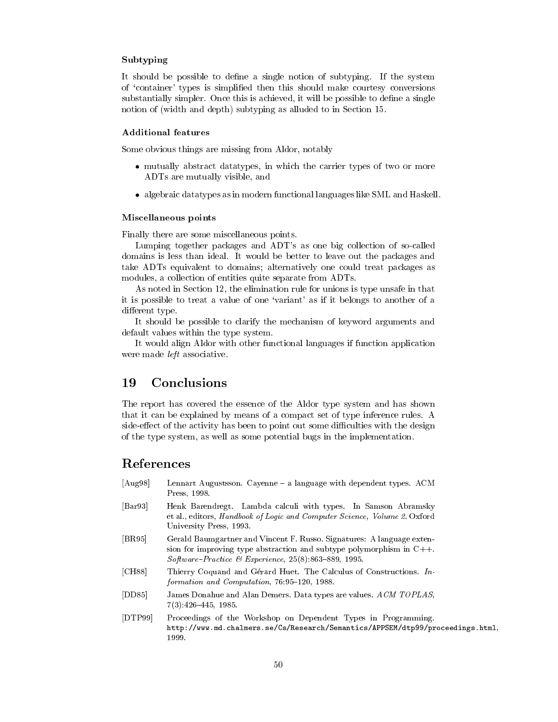# Subtyping

It should be possible to define a single notion of subtyping. If the system of 'container' types is simplified then this should make courtesy conversions substantially simpler. Once this is achieved, it will be possible to define a single notion of (width and depth) subtyping as alluded to in Section 15.

# **Additional features**

Some obvious things are missing from Aldor, notably

- mutually abstract datatypes, in which the carrier types of two or more ADTs are mutually visible, and
- algebraic datatypes as in modern functional languages like SML and Haskell.

### Miscellaneous points

Finally there are some miscellaneous points.

Lumping together packages and ADT's as one big collection of so-called domains is less than ideal. It would be better to leave out the packages and take ADTs equivalent to domains; alternatively one could treat packages as modules, a collection of entities quite separate from ADTs.

As noted in Section 12, the elimination rule for unions is type unsafe in that it is possible to treat a value of one 'variant' as if it belongs to another of a different type.

It should be possible to clarify the mechanism of keyword arguments and default values within the type system.

It would align Aldor with other functional languages if function application were made *left* associative.

### 19 Conclusions

The report has covered the essence of the Aldor type system and has shown that it can be explained by means of a compact set of type inference rules. A side-effect of the activity has been to point out some difficulties with the design of the type system, as well as some potential bugs in the implementation.

# References

- $[Aug98]$ Lennart Augustsson. Cayenne - a language with dependent types. ACM Press, 1998.
- $\left[\text{Bar}93\right]$ Henk Barendregt. Lambda calculi with types. In Samson Abramsky et al., editors, Handbook of Logic and Computer Science, Volume 2. Oxford University Press, 1993.
- $|BR95|$ Gerald Baumgartner and Vincent F. Russo. Signatures: A language extension for improving type abstraction and subtype polymorphism in  $C++$ . Software-Practice & Experience,  $25(8)$ :863-889, 1995.
- $[CH88]$ Thierry Coquand and Gérard Huet. The Calculus of Constructions. Information and Computation, 76:95-120, 1988.
- $[DD85]$ James Donahue and Alan Demers. Data types are values. ACM TOPLAS,  $7(3):426-445, 1985.$
- $[DTP99]$ Proceedings of the Workshop on Dependent Types in Programming. http://www.md.chalmers.se/Cs/Research/Semantics/APPSEM/dtp99/proceedings.html, 1999.